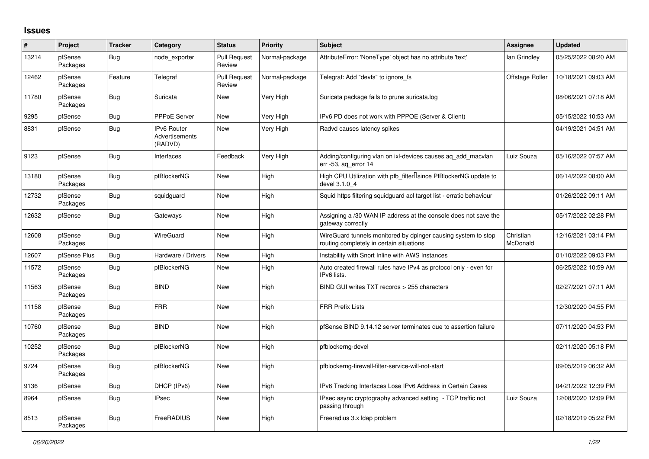## **Issues**

| #     | Project             | <b>Tracker</b> | Category                                               | <b>Status</b>                 | <b>Priority</b> | <b>Subject</b>                                                                                            | <b>Assignee</b>       | <b>Updated</b>      |
|-------|---------------------|----------------|--------------------------------------------------------|-------------------------------|-----------------|-----------------------------------------------------------------------------------------------------------|-----------------------|---------------------|
| 13214 | pfSense<br>Packages | <b>Bug</b>     | node exporter                                          | <b>Pull Request</b><br>Review | Normal-package  | AttributeError: 'NoneType' object has no attribute 'text'                                                 | lan Grindley          | 05/25/2022 08:20 AM |
| 12462 | pfSense<br>Packages | Feature        | Telegraf                                               | <b>Pull Request</b><br>Review | Normal-package  | Telegraf: Add "devfs" to ignore_fs                                                                        | Offstage Roller       | 10/18/2021 09:03 AM |
| 11780 | pfSense<br>Packages | Bug            | Suricata                                               | New                           | Very High       | Suricata package fails to prune suricata.log                                                              |                       | 08/06/2021 07:18 AM |
| 9295  | pfSense             | <b>Bug</b>     | <b>PPPoE Server</b>                                    | <b>New</b>                    | Very High       | IPv6 PD does not work with PPPOE (Server & Client)                                                        |                       | 05/15/2022 10:53 AM |
| 8831  | pfSense             | <b>Bug</b>     | <b>IPv6 Router</b><br><b>Advertisements</b><br>(RADVD) | <b>New</b>                    | Very High       | Radvd causes latency spikes                                                                               |                       | 04/19/2021 04:51 AM |
| 9123  | pfSense             | Bug            | Interfaces                                             | Feedback                      | Very High       | Adding/configuring vlan on ixl-devices causes ag add macvlan<br>err -53, ag error 14                      | Luiz Souza            | 05/16/2022 07:57 AM |
| 13180 | pfSense<br>Packages | Bug            | pfBlockerNG                                            | New                           | High            | High CPU Utilization with pfb_filterlsince PfBlockerNG update to<br>devel 3.1.0 4                         |                       | 06/14/2022 08:00 AM |
| 12732 | pfSense<br>Packages | <b>Bug</b>     | squidguard                                             | New                           | High            | Squid https filtering squidguard acl target list - erratic behaviour                                      |                       | 01/26/2022 09:11 AM |
| 12632 | pfSense             | Bug            | Gateways                                               | <b>New</b>                    | High            | Assigning a /30 WAN IP address at the console does not save the<br>gateway correctly                      |                       | 05/17/2022 02:28 PM |
| 12608 | pfSense<br>Packages | <b>Bug</b>     | WireGuard                                              | <b>New</b>                    | High            | WireGuard tunnels monitored by dpinger causing system to stop<br>routing completely in certain situations | Christian<br>McDonald | 12/16/2021 03:14 PM |
| 12607 | pfSense Plus        | <b>Bug</b>     | Hardware / Drivers                                     | <b>New</b>                    | High            | Instability with Snort Inline with AWS Instances                                                          |                       | 01/10/2022 09:03 PM |
| 11572 | pfSense<br>Packages | Bug            | pfBlockerNG                                            | <b>New</b>                    | High            | Auto created firewall rules have IPv4 as protocol only - even for<br>IPv6 lists.                          |                       | 06/25/2022 10:59 AM |
| 11563 | pfSense<br>Packages | <b>Bug</b>     | <b>BIND</b>                                            | New                           | High            | BIND GUI writes TXT records > 255 characters                                                              |                       | 02/27/2021 07:11 AM |
| 11158 | pfSense<br>Packages | Bug            | <b>FRR</b>                                             | <b>New</b>                    | High            | <b>FRR Prefix Lists</b>                                                                                   |                       | 12/30/2020 04:55 PM |
| 10760 | pfSense<br>Packages | <b>Bug</b>     | <b>BIND</b>                                            | <b>New</b>                    | High            | pfSense BIND 9.14.12 server terminates due to assertion failure                                           |                       | 07/11/2020 04:53 PM |
| 10252 | pfSense<br>Packages | <b>Bug</b>     | pfBlockerNG                                            | <b>New</b>                    | High            | pfblockerng-devel                                                                                         |                       | 02/11/2020 05:18 PM |
| 9724  | pfSense<br>Packages | Bug            | pfBlockerNG                                            | New                           | High            | pfblockerng-firewall-filter-service-will-not-start                                                        |                       | 09/05/2019 06:32 AM |
| 9136  | pfSense             | Bug            | DHCP (IPv6)                                            | <b>New</b>                    | High            | IPv6 Tracking Interfaces Lose IPv6 Address in Certain Cases                                               |                       | 04/21/2022 12:39 PM |
| 8964  | pfSense             | <b>Bug</b>     | <b>IPsec</b>                                           | <b>New</b>                    | High            | IPsec async cryptography advanced setting - TCP traffic not<br>passing through                            | Luiz Souza            | 12/08/2020 12:09 PM |
| 8513  | pfSense<br>Packages | <b>Bug</b>     | FreeRADIUS                                             | <b>New</b>                    | High            | Freeradius 3.x Idap problem                                                                               |                       | 02/18/2019 05:22 PM |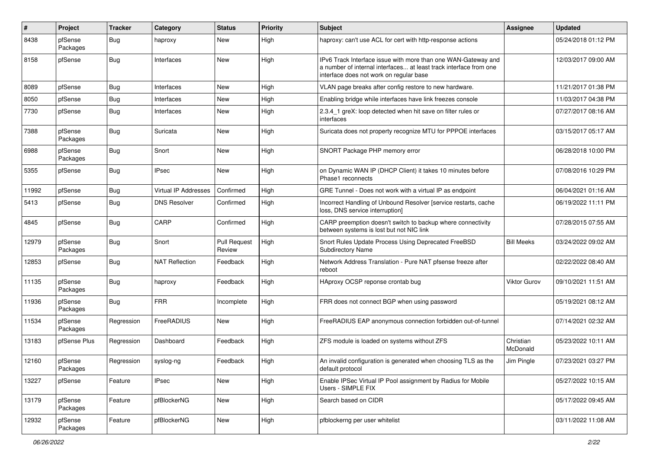| #     | Project             | <b>Tracker</b> | Category              | <b>Status</b>                 | <b>Priority</b> | <b>Subject</b>                                                                                                                                                                | <b>Assignee</b>       | <b>Updated</b>      |
|-------|---------------------|----------------|-----------------------|-------------------------------|-----------------|-------------------------------------------------------------------------------------------------------------------------------------------------------------------------------|-----------------------|---------------------|
| 8438  | pfSense<br>Packages | <b>Bug</b>     | haproxy               | New                           | High            | haproxy: can't use ACL for cert with http-response actions                                                                                                                    |                       | 05/24/2018 01:12 PM |
| 8158  | pfSense             | <b>Bug</b>     | Interfaces            | <b>New</b>                    | High            | IPv6 Track Interface issue with more than one WAN-Gateway and<br>a number of internal interfaces at least track interface from one<br>interface does not work on regular base |                       | 12/03/2017 09:00 AM |
| 8089  | pfSense             | <b>Bug</b>     | Interfaces            | New                           | High            | VLAN page breaks after config restore to new hardware.                                                                                                                        |                       | 11/21/2017 01:38 PM |
| 8050  | pfSense             | <b>Bug</b>     | Interfaces            | New                           | High            | Enabling bridge while interfaces have link freezes console                                                                                                                    |                       | 11/03/2017 04:38 PM |
| 7730  | pfSense             | Bug            | Interfaces            | New                           | High            | 2.3.4_1 greX: loop detected when hit save on filter rules or<br>interfaces                                                                                                    |                       | 07/27/2017 08:16 AM |
| 7388  | pfSense<br>Packages | <b>Bug</b>     | Suricata              | New                           | High            | Suricata does not property recognize MTU for PPPOE interfaces                                                                                                                 |                       | 03/15/2017 05:17 AM |
| 6988  | pfSense<br>Packages | Bug            | Snort                 | New                           | High            | SNORT Package PHP memory error                                                                                                                                                |                       | 06/28/2018 10:00 PM |
| 5355  | pfSense             | <b>Bug</b>     | <b>IPsec</b>          | <b>New</b>                    | High            | on Dynamic WAN IP (DHCP Client) it takes 10 minutes before<br>Phase1 reconnects                                                                                               |                       | 07/08/2016 10:29 PM |
| 11992 | pfSense             | <b>Bug</b>     | Virtual IP Addresses  | Confirmed                     | High            | GRE Tunnel - Does not work with a virtual IP as endpoint                                                                                                                      |                       | 06/04/2021 01:16 AM |
| 5413  | pfSense             | <b>Bug</b>     | <b>DNS Resolver</b>   | Confirmed                     | High            | Incorrect Handling of Unbound Resolver [service restarts, cache<br>loss, DNS service interruption]                                                                            |                       | 06/19/2022 11:11 PM |
| 4845  | pfSense             | <b>Bug</b>     | CARP                  | Confirmed                     | High            | CARP preemption doesn't switch to backup where connectivity<br>between systems is lost but not NIC link                                                                       |                       | 07/28/2015 07:55 AM |
| 12979 | pfSense<br>Packages | Bug            | Snort                 | <b>Pull Request</b><br>Review | High            | Snort Rules Update Process Using Deprecated FreeBSD<br><b>Subdirectory Name</b>                                                                                               | <b>Bill Meeks</b>     | 03/24/2022 09:02 AM |
| 12853 | pfSense             | <b>Bug</b>     | <b>NAT Reflection</b> | Feedback                      | High            | Network Address Translation - Pure NAT pfsense freeze after<br>reboot                                                                                                         |                       | 02/22/2022 08:40 AM |
| 11135 | pfSense<br>Packages | <b>Bug</b>     | haproxy               | Feedback                      | High            | HAproxy OCSP reponse crontab bug                                                                                                                                              | Viktor Gurov          | 09/10/2021 11:51 AM |
| 11936 | pfSense<br>Packages | Bug            | <b>FRR</b>            | Incomplete                    | High            | FRR does not connect BGP when using password                                                                                                                                  |                       | 05/19/2021 08:12 AM |
| 11534 | pfSense<br>Packages | Regression     | FreeRADIUS            | <b>New</b>                    | High            | FreeRADIUS EAP anonymous connection forbidden out-of-tunnel                                                                                                                   |                       | 07/14/2021 02:32 AM |
| 13183 | pfSense Plus        | Regression     | Dashboard             | Feedback                      | High            | ZFS module is loaded on systems without ZFS                                                                                                                                   | Christian<br>McDonald | 05/23/2022 10:11 AM |
| 12160 | pfSense<br>Packages | Regression     | syslog-ng             | Feedback                      | High            | An invalid configuration is generated when choosing TLS as the<br>default protocol                                                                                            | Jim Pingle            | 07/23/2021 03:27 PM |
| 13227 | pfSense             | Feature        | <b>IPsec</b>          | New                           | High            | Enable IPSec Virtual IP Pool assignment by Radius for Mobile<br>Users - SIMPLE FIX                                                                                            |                       | 05/27/2022 10:15 AM |
| 13179 | pfSense<br>Packages | Feature        | pfBlockerNG           | New                           | High            | Search based on CIDR                                                                                                                                                          |                       | 05/17/2022 09:45 AM |
| 12932 | pfSense<br>Packages | Feature        | pfBlockerNG           | New                           | High            | pfblockerng per user whitelist                                                                                                                                                |                       | 03/11/2022 11:08 AM |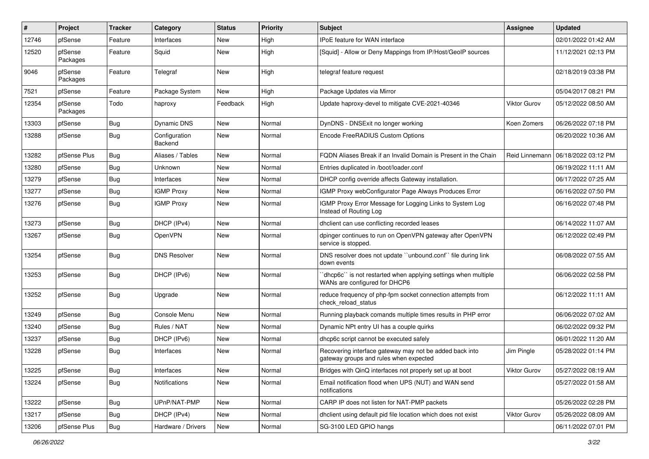| ∦     | Project             | <b>Tracker</b> | Category                 | <b>Status</b> | <b>Priority</b> | <b>Subject</b>                                                                                    | Assignee       | <b>Updated</b>      |
|-------|---------------------|----------------|--------------------------|---------------|-----------------|---------------------------------------------------------------------------------------------------|----------------|---------------------|
| 12746 | pfSense             | Feature        | Interfaces               | New           | High            | IPoE feature for WAN interface                                                                    |                | 02/01/2022 01:42 AM |
| 12520 | pfSense<br>Packages | Feature        | Squid                    | <b>New</b>    | High            | [Squid] - Allow or Deny Mappings from IP/Host/GeoIP sources                                       |                | 11/12/2021 02:13 PM |
| 9046  | pfSense<br>Packages | Feature        | Telegraf                 | <b>New</b>    | High            | telegraf feature request                                                                          |                | 02/18/2019 03:38 PM |
| 7521  | pfSense             | Feature        | Package System           | <b>New</b>    | High            | Package Updates via Mirror                                                                        |                | 05/04/2017 08:21 PM |
| 12354 | pfSense<br>Packages | Todo           | haproxy                  | Feedback      | High            | Update haproxy-devel to mitigate CVE-2021-40346                                                   | Viktor Gurov   | 05/12/2022 08:50 AM |
| 13303 | pfSense             | <b>Bug</b>     | Dynamic DNS              | <b>New</b>    | Normal          | DynDNS - DNSExit no longer working                                                                | Koen Zomers    | 06/26/2022 07:18 PM |
| 13288 | pfSense             | <b>Bug</b>     | Configuration<br>Backend | <b>New</b>    | Normal          | Encode FreeRADIUS Custom Options                                                                  |                | 06/20/2022 10:36 AM |
| 13282 | pfSense Plus        | <b>Bug</b>     | Aliases / Tables         | <b>New</b>    | Normal          | FQDN Aliases Break if an Invalid Domain is Present in the Chain                                   | Reid Linnemann | 06/18/2022 03:12 PM |
| 13280 | pfSense             | <b>Bug</b>     | Unknown                  | <b>New</b>    | Normal          | Entries duplicated in /boot/loader.conf                                                           |                | 06/19/2022 11:11 AM |
| 13279 | pfSense             | <b>Bug</b>     | Interfaces               | New           | Normal          | DHCP config override affects Gateway installation.                                                |                | 06/17/2022 07:25 AM |
| 13277 | pfSense             | Bug            | <b>IGMP Proxy</b>        | New           | Normal          | IGMP Proxy webConfigurator Page Always Produces Error                                             |                | 06/16/2022 07:50 PM |
| 13276 | pfSense             | <b>Bug</b>     | <b>IGMP Proxy</b>        | <b>New</b>    | Normal          | IGMP Proxy Error Message for Logging Links to System Log<br>Instead of Routing Log                |                | 06/16/2022 07:48 PM |
| 13273 | pfSense             | <b>Bug</b>     | DHCP (IPv4)              | <b>New</b>    | Normal          | dhclient can use conflicting recorded leases                                                      |                | 06/14/2022 11:07 AM |
| 13267 | pfSense             | <b>Bug</b>     | OpenVPN                  | <b>New</b>    | Normal          | dpinger continues to run on OpenVPN gateway after OpenVPN<br>service is stopped.                  |                | 06/12/2022 02:49 PM |
| 13254 | pfSense             | <b>Bug</b>     | <b>DNS Resolver</b>      | <b>New</b>    | Normal          | DNS resolver does not update "unbound.conf" file during link<br>down events                       |                | 06/08/2022 07:55 AM |
| 13253 | pfSense             | <b>Bug</b>     | DHCP (IPv6)              | New           | Normal          | 'dhcp6c'' is not restarted when applying settings when multiple<br>WANs are configured for DHCP6  |                | 06/06/2022 02:58 PM |
| 13252 | pfSense             | <b>Bug</b>     | Upgrade                  | <b>New</b>    | Normal          | reduce frequency of php-fpm socket connection attempts from<br>check reload status                |                | 06/12/2022 11:11 AM |
| 13249 | pfSense             | Bug            | Console Menu             | <b>New</b>    | Normal          | Running playback comands multiple times results in PHP error                                      |                | 06/06/2022 07:02 AM |
| 13240 | pfSense             | <b>Bug</b>     | Rules / NAT              | New           | Normal          | Dynamic NPt entry UI has a couple quirks                                                          |                | 06/02/2022 09:32 PM |
| 13237 | pfSense             | <b>Bug</b>     | DHCP (IPv6)              | <b>New</b>    | Normal          | dhcp6c script cannot be executed safely                                                           |                | 06/01/2022 11:20 AM |
| 13228 | pfSense             | <b>Bug</b>     | Interfaces               | New           | Normal          | Recovering interface gateway may not be added back into<br>gateway groups and rules when expected | Jim Pingle     | 05/28/2022 01:14 PM |
| 13225 | pfSense             | Bug            | Interfaces               | New           | Normal          | Bridges with QinQ interfaces not properly set up at boot                                          | Viktor Gurov   | 05/27/2022 08:19 AM |
| 13224 | pfSense             | <b>Bug</b>     | Notifications            | New           | Normal          | Email notification flood when UPS (NUT) and WAN send<br>notifications                             |                | 05/27/2022 01:58 AM |
| 13222 | pfSense             | <b>Bug</b>     | UPnP/NAT-PMP             | New           | Normal          | CARP IP does not listen for NAT-PMP packets                                                       |                | 05/26/2022 02:28 PM |
| 13217 | pfSense             | <b>Bug</b>     | DHCP (IPv4)              | New           | Normal          | dhclient using default pid file location which does not exist                                     | Viktor Gurov   | 05/26/2022 08:09 AM |
| 13206 | pfSense Plus        | <b>Bug</b>     | Hardware / Drivers       | New           | Normal          | SG-3100 LED GPIO hangs                                                                            |                | 06/11/2022 07:01 PM |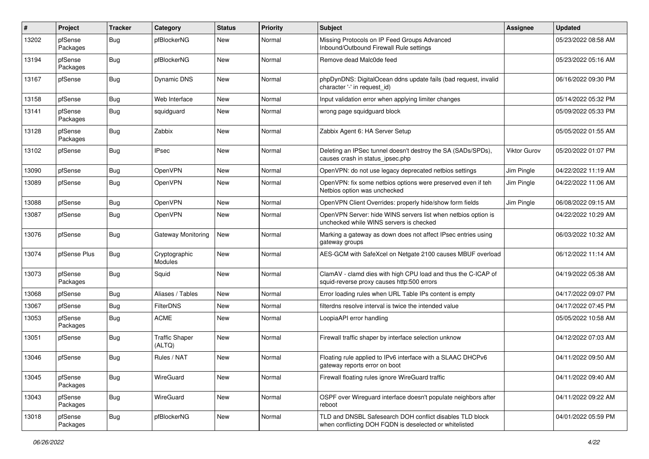| ∦     | Project             | <b>Tracker</b> | Category                        | <b>Status</b> | <b>Priority</b> | Subject                                                                                                            | Assignee     | <b>Updated</b>      |
|-------|---------------------|----------------|---------------------------------|---------------|-----------------|--------------------------------------------------------------------------------------------------------------------|--------------|---------------------|
| 13202 | pfSense<br>Packages | <b>Bug</b>     | pfBlockerNG                     | New           | Normal          | Missing Protocols on IP Feed Groups Advanced<br>Inbound/Outbound Firewall Rule settings                            |              | 05/23/2022 08:58 AM |
| 13194 | pfSense<br>Packages | <b>Bug</b>     | pfBlockerNG                     | <b>New</b>    | Normal          | Remove dead Malc0de feed                                                                                           |              | 05/23/2022 05:16 AM |
| 13167 | pfSense             | Bug            | <b>Dynamic DNS</b>              | <b>New</b>    | Normal          | phpDynDNS: DigitalOcean ddns update fails (bad request, invalid<br>character '-' in request id)                    |              | 06/16/2022 09:30 PM |
| 13158 | pfSense             | <b>Bug</b>     | Web Interface                   | <b>New</b>    | Normal          | Input validation error when applying limiter changes                                                               |              | 05/14/2022 05:32 PM |
| 13141 | pfSense<br>Packages | Bug            | squidguard                      | New           | Normal          | wrong page squidguard block                                                                                        |              | 05/09/2022 05:33 PM |
| 13128 | pfSense<br>Packages | Bug            | Zabbix                          | New           | Normal          | Zabbix Agent 6: HA Server Setup                                                                                    |              | 05/05/2022 01:55 AM |
| 13102 | pfSense             | <b>Bug</b>     | <b>IPsec</b>                    | New           | Normal          | Deleting an IPSec tunnel doesn't destroy the SA (SADs/SPDs),<br>causes crash in status_ipsec.php                   | Viktor Gurov | 05/20/2022 01:07 PM |
| 13090 | pfSense             | <b>Bug</b>     | OpenVPN                         | New           | Normal          | OpenVPN: do not use legacy deprecated netbios settings                                                             | Jim Pingle   | 04/22/2022 11:19 AM |
| 13089 | pfSense             | <b>Bug</b>     | OpenVPN                         | New           | Normal          | OpenVPN: fix some netbios options were preserved even if teh<br>Netbios option was unchecked                       | Jim Pingle   | 04/22/2022 11:06 AM |
| 13088 | pfSense             | Bug            | OpenVPN                         | New           | Normal          | OpenVPN Client Overrides: properly hide/show form fields                                                           | Jim Pingle   | 06/08/2022 09:15 AM |
| 13087 | pfSense             | <b>Bug</b>     | OpenVPN                         | New           | Normal          | OpenVPN Server: hide WINS servers list when netbios option is<br>unchecked while WINS servers is checked           |              | 04/22/2022 10:29 AM |
| 13076 | pfSense             | Bug            | <b>Gateway Monitoring</b>       | <b>New</b>    | Normal          | Marking a gateway as down does not affect IPsec entries using<br>gateway groups                                    |              | 06/03/2022 10:32 AM |
| 13074 | pfSense Plus        | <b>Bug</b>     | Cryptographic<br><b>Modules</b> | <b>New</b>    | Normal          | AES-GCM with SafeXcel on Netgate 2100 causes MBUF overload                                                         |              | 06/12/2022 11:14 AM |
| 13073 | pfSense<br>Packages | <b>Bug</b>     | Squid                           | <b>New</b>    | Normal          | ClamAV - clamd dies with high CPU load and thus the C-ICAP of<br>squid-reverse proxy causes http:500 errors        |              | 04/19/2022 05:38 AM |
| 13068 | pfSense             | Bug            | Aliases / Tables                | <b>New</b>    | Normal          | Error loading rules when URL Table IPs content is empty                                                            |              | 04/17/2022 09:07 PM |
| 13067 | pfSense             | Bug            | FilterDNS                       | New           | Normal          | filterdns resolve interval is twice the intended value                                                             |              | 04/17/2022 07:45 PM |
| 13053 | pfSense<br>Packages | <b>Bug</b>     | <b>ACME</b>                     | New           | Normal          | LoopiaAPI error handling                                                                                           |              | 05/05/2022 10:58 AM |
| 13051 | pfSense             | <b>Bug</b>     | <b>Traffic Shaper</b><br>(ALTQ) | <b>New</b>    | Normal          | Firewall traffic shaper by interface selection unknow                                                              |              | 04/12/2022 07:03 AM |
| 13046 | pfSense             | <b>Bug</b>     | Rules / NAT                     | <b>New</b>    | Normal          | Floating rule applied to IPv6 interface with a SLAAC DHCPv6<br>gateway reports error on boot                       |              | 04/11/2022 09:50 AM |
| 13045 | pfSense<br>Packages | <b>Bug</b>     | WireGuard                       | New           | Normal          | Firewall floating rules ignore WireGuard traffic                                                                   |              | 04/11/2022 09:40 AM |
| 13043 | pfSense<br>Packages | <b>Bug</b>     | WireGuard                       | New           | Normal          | OSPF over Wireguard interface doesn't populate neighbors after<br>reboot                                           |              | 04/11/2022 09:22 AM |
| 13018 | pfSense<br>Packages | Bug            | pfBlockerNG                     | New           | Normal          | TLD and DNSBL Safesearch DOH conflict disables TLD block<br>when conflicting DOH FQDN is deselected or whitelisted |              | 04/01/2022 05:59 PM |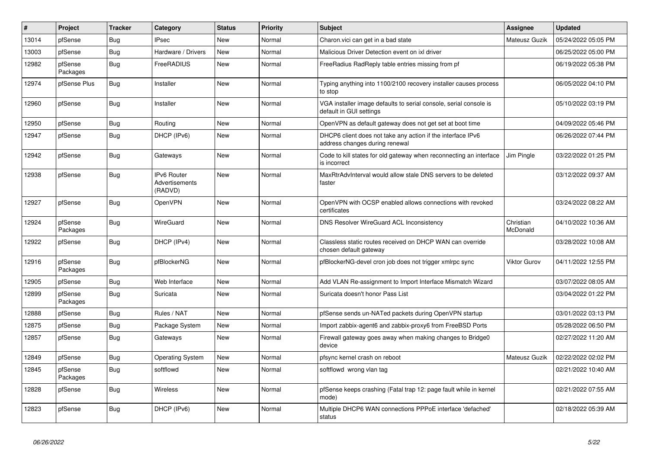| #     | Project             | <b>Tracker</b> | Category                                        | <b>Status</b> | <b>Priority</b> | <b>Subject</b>                                                                                | <b>Assignee</b>       | <b>Updated</b>      |
|-------|---------------------|----------------|-------------------------------------------------|---------------|-----------------|-----------------------------------------------------------------------------------------------|-----------------------|---------------------|
| 13014 | pfSense             | Bug            | <b>IPsec</b>                                    | <b>New</b>    | Normal          | Charon.vici can get in a bad state                                                            | Mateusz Guzik         | 05/24/2022 05:05 PM |
| 13003 | pfSense             | Bug            | Hardware / Drivers                              | New           | Normal          | Malicious Driver Detection event on ixl driver                                                |                       | 06/25/2022 05:00 PM |
| 12982 | pfSense<br>Packages | <b>Bug</b>     | FreeRADIUS                                      | New           | Normal          | FreeRadius RadReply table entries missing from pf                                             |                       | 06/19/2022 05:38 PM |
| 12974 | pfSense Plus        | <b>Bug</b>     | Installer                                       | New           | Normal          | Typing anything into 1100/2100 recovery installer causes process<br>to stop                   |                       | 06/05/2022 04:10 PM |
| 12960 | pfSense             | Bug            | Installer                                       | <b>New</b>    | Normal          | VGA installer image defaults to serial console, serial console is<br>default in GUI settings  |                       | 05/10/2022 03:19 PM |
| 12950 | pfSense             | Bug            | Routing                                         | <b>New</b>    | Normal          | OpenVPN as default gateway does not get set at boot time                                      |                       | 04/09/2022 05:46 PM |
| 12947 | pfSense             | Bug            | DHCP (IPv6)                                     | <b>New</b>    | Normal          | DHCP6 client does not take any action if the interface IPv6<br>address changes during renewal |                       | 06/26/2022 07:44 PM |
| 12942 | pfSense             | <b>Bug</b>     | Gateways                                        | <b>New</b>    | Normal          | Code to kill states for old gateway when reconnecting an interface<br>is incorrect            | Jim Pingle            | 03/22/2022 01:25 PM |
| 12938 | pfSense             | <b>Bug</b>     | <b>IPv6 Router</b><br>Advertisements<br>(RADVD) | <b>New</b>    | Normal          | MaxRtrAdvInterval would allow stale DNS servers to be deleted<br>faster                       |                       | 03/12/2022 09:37 AM |
| 12927 | pfSense             | <b>Bug</b>     | OpenVPN                                         | <b>New</b>    | Normal          | OpenVPN with OCSP enabled allows connections with revoked<br>certificates                     |                       | 03/24/2022 08:22 AM |
| 12924 | pfSense<br>Packages | <b>Bug</b>     | WireGuard                                       | <b>New</b>    | Normal          | <b>DNS Resolver WireGuard ACL Inconsistency</b>                                               | Christian<br>McDonald | 04/10/2022 10:36 AM |
| 12922 | pfSense             | <b>Bug</b>     | DHCP (IPv4)                                     | New           | Normal          | Classless static routes received on DHCP WAN can override<br>chosen default gateway           |                       | 03/28/2022 10:08 AM |
| 12916 | pfSense<br>Packages | Bug            | pfBlockerNG                                     | <b>New</b>    | Normal          | pfBlockerNG-devel cron job does not trigger xmlrpc sync                                       | Viktor Gurov          | 04/11/2022 12:55 PM |
| 12905 | pfSense             | <b>Bug</b>     | Web Interface                                   | <b>New</b>    | Normal          | Add VLAN Re-assignment to Import Interface Mismatch Wizard                                    |                       | 03/07/2022 08:05 AM |
| 12899 | pfSense<br>Packages | <b>Bug</b>     | Suricata                                        | <b>New</b>    | Normal          | Suricata doesn't honor Pass List                                                              |                       | 03/04/2022 01:22 PM |
| 12888 | pfSense             | Bug            | Rules / NAT                                     | <b>New</b>    | Normal          | pfSense sends un-NATed packets during OpenVPN startup                                         |                       | 03/01/2022 03:13 PM |
| 12875 | pfSense             | <b>Bug</b>     | Package System                                  | New           | Normal          | Import zabbix-agent6 and zabbix-proxy6 from FreeBSD Ports                                     |                       | 05/28/2022 06:50 PM |
| 12857 | pfSense             | <b>Bug</b>     | Gateways                                        | <b>New</b>    | Normal          | Firewall gateway goes away when making changes to Bridge0<br>device                           |                       | 02/27/2022 11:20 AM |
| 12849 | pfSense             | <b>Bug</b>     | <b>Operating System</b>                         | <b>New</b>    | Normal          | pfsync kernel crash on reboot                                                                 | Mateusz Guzik         | 02/22/2022 02:02 PM |
| 12845 | pfSense<br>Packages | <b>Bug</b>     | softflowd                                       | <b>New</b>    | Normal          | softflowd wrong vlan tag                                                                      |                       | 02/21/2022 10:40 AM |
| 12828 | pfSense             | Bug            | Wireless                                        | New           | Normal          | pfSense keeps crashing (Fatal trap 12: page fault while in kernel<br>mode)                    |                       | 02/21/2022 07:55 AM |
| 12823 | pfSense             | <b>Bug</b>     | DHCP (IPv6)                                     | <b>New</b>    | Normal          | Multiple DHCP6 WAN connections PPPoE interface 'defached'<br>status                           |                       | 02/18/2022 05:39 AM |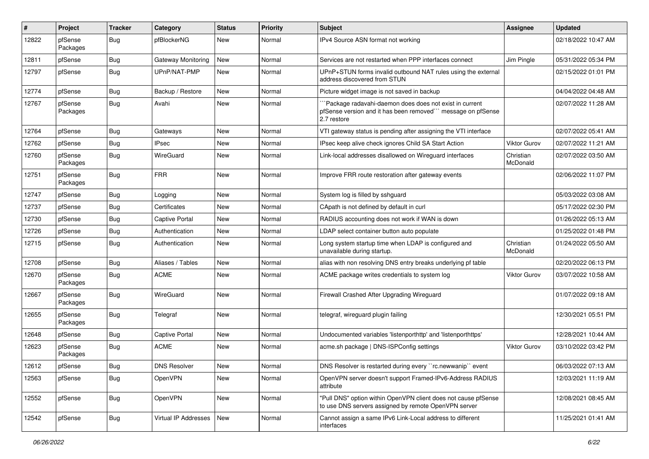| #     | Project             | <b>Tracker</b> | Category                  | <b>Status</b> | <b>Priority</b> | <b>Subject</b>                                                                                                                        | Assignee              | <b>Updated</b>      |
|-------|---------------------|----------------|---------------------------|---------------|-----------------|---------------------------------------------------------------------------------------------------------------------------------------|-----------------------|---------------------|
| 12822 | pfSense<br>Packages | Bug            | pfBlockerNG               | New           | Normal          | IPv4 Source ASN format not working                                                                                                    |                       | 02/18/2022 10:47 AM |
| 12811 | pfSense             | Bug            | <b>Gateway Monitoring</b> | <b>New</b>    | Normal          | Services are not restarted when PPP interfaces connect                                                                                | Jim Pingle            | 05/31/2022 05:34 PM |
| 12797 | pfSense             | <b>Bug</b>     | UPnP/NAT-PMP              | New           | Normal          | UPnP+STUN forms invalid outbound NAT rules using the external<br>address discovered from STUN                                         |                       | 02/15/2022 01:01 PM |
| 12774 | pfSense             | Bug            | Backup / Restore          | <b>New</b>    | Normal          | Picture widget image is not saved in backup                                                                                           |                       | 04/04/2022 04:48 AM |
| 12767 | pfSense<br>Packages | Bug            | Avahi                     | New           | Normal          | 'Package radavahi-daemon does does not exist in current<br>pfSense version and it has been removed" message on pfSense<br>2.7 restore |                       | 02/07/2022 11:28 AM |
| 12764 | pfSense             | Bug            | Gateways                  | <b>New</b>    | Normal          | VTI gateway status is pending after assigning the VTI interface                                                                       |                       | 02/07/2022 05:41 AM |
| 12762 | pfSense             | Bug            | <b>IPsec</b>              | <b>New</b>    | Normal          | IPsec keep alive check ignores Child SA Start Action                                                                                  | Viktor Gurov          | 02/07/2022 11:21 AM |
| 12760 | pfSense<br>Packages | <b>Bug</b>     | WireGuard                 | <b>New</b>    | Normal          | Link-local addresses disallowed on Wireguard interfaces                                                                               | Christian<br>McDonald | 02/07/2022 03:50 AM |
| 12751 | pfSense<br>Packages | Bug            | <b>FRR</b>                | New           | Normal          | Improve FRR route restoration after gateway events                                                                                    |                       | 02/06/2022 11:07 PM |
| 12747 | pfSense             | <b>Bug</b>     | Logging                   | <b>New</b>    | Normal          | System log is filled by sshguard                                                                                                      |                       | 05/03/2022 03:08 AM |
| 12737 | pfSense             | <b>Bug</b>     | Certificates              | <b>New</b>    | Normal          | CApath is not defined by default in curl                                                                                              |                       | 05/17/2022 02:30 PM |
| 12730 | pfSense             | Bug            | Captive Portal            | <b>New</b>    | Normal          | RADIUS accounting does not work if WAN is down                                                                                        |                       | 01/26/2022 05:13 AM |
| 12726 | pfSense             | Bug            | Authentication            | <b>New</b>    | Normal          | LDAP select container button auto populate                                                                                            |                       | 01/25/2022 01:48 PM |
| 12715 | pfSense             | <b>Bug</b>     | Authentication            | <b>New</b>    | Normal          | Long system startup time when LDAP is configured and<br>unavailable during startup.                                                   | Christian<br>McDonald | 01/24/2022 05:50 AM |
| 12708 | pfSense             | Bug            | Aliases / Tables          | New           | Normal          | alias with non resolving DNS entry breaks underlying pf table                                                                         |                       | 02/20/2022 06:13 PM |
| 12670 | pfSense<br>Packages | <b>Bug</b>     | <b>ACME</b>               | <b>New</b>    | Normal          | ACME package writes credentials to system log                                                                                         | Viktor Gurov          | 03/07/2022 10:58 AM |
| 12667 | pfSense<br>Packages | Bug            | WireGuard                 | <b>New</b>    | Normal          | Firewall Crashed After Upgrading Wireguard                                                                                            |                       | 01/07/2022 09:18 AM |
| 12655 | pfSense<br>Packages | Bug            | Telegraf                  | <b>New</b>    | Normal          | telegraf, wireguard plugin failing                                                                                                    |                       | 12/30/2021 05:51 PM |
| 12648 | pfSense             | Bug            | <b>Captive Portal</b>     | <b>New</b>    | Normal          | Undocumented variables 'listenporthttp' and 'listenporthttps'                                                                         |                       | 12/28/2021 10:44 AM |
| 12623 | pfSense<br>Packages | Bug            | <b>ACME</b>               | New           | Normal          | acme.sh package   DNS-ISPConfig settings                                                                                              | Viktor Gurov          | 03/10/2022 03:42 PM |
| 12612 | pfSense             | i Bug          | <b>DNS Resolver</b>       | New           | Normal          | DNS Resolver is restarted during every "rc.newwanip" event                                                                            |                       | 06/03/2022 07:13 AM |
| 12563 | pfSense             | Bug            | OpenVPN                   | New           | Normal          | OpenVPN server doesn't support Framed-IPv6-Address RADIUS<br>attribute                                                                |                       | 12/03/2021 11:19 AM |
| 12552 | pfSense             | Bug            | OpenVPN                   | New           | Normal          | "Pull DNS" option within OpenVPN client does not cause pfSense<br>to use DNS servers assigned by remote OpenVPN server                |                       | 12/08/2021 08:45 AM |
| 12542 | pfSense             | <b>Bug</b>     | Virtual IP Addresses      | New           | Normal          | Cannot assign a same IPv6 Link-Local address to different<br>interfaces                                                               |                       | 11/25/2021 01:41 AM |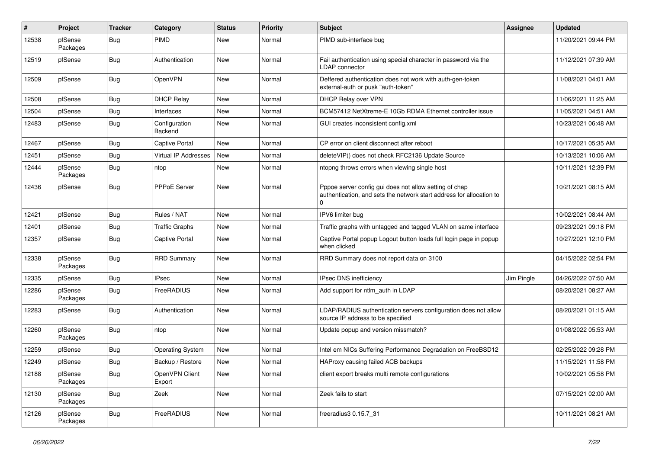| #     | Project             | <b>Tracker</b> | Category                 | <b>Status</b> | <b>Priority</b> | <b>Subject</b>                                                                                                                      | <b>Assignee</b> | <b>Updated</b>      |
|-------|---------------------|----------------|--------------------------|---------------|-----------------|-------------------------------------------------------------------------------------------------------------------------------------|-----------------|---------------------|
| 12538 | pfSense<br>Packages | <b>Bug</b>     | PIMD                     | <b>New</b>    | Normal          | PIMD sub-interface bug                                                                                                              |                 | 11/20/2021 09:44 PM |
| 12519 | pfSense             | <b>Bug</b>     | Authentication           | <b>New</b>    | Normal          | Fail authentication using special character in password via the<br>LDAP connector                                                   |                 | 11/12/2021 07:39 AM |
| 12509 | pfSense             | <b>Bug</b>     | OpenVPN                  | New           | Normal          | Deffered authentication does not work with auth-gen-token<br>external-auth or pusk "auth-token"                                     |                 | 11/08/2021 04:01 AM |
| 12508 | pfSense             | <b>Bug</b>     | <b>DHCP Relay</b>        | <b>New</b>    | Normal          | DHCP Relay over VPN                                                                                                                 |                 | 11/06/2021 11:25 AM |
| 12504 | pfSense             | <b>Bug</b>     | Interfaces               | <b>New</b>    | Normal          | BCM57412 NetXtreme-E 10Gb RDMA Ethernet controller issue                                                                            |                 | 11/05/2021 04:51 AM |
| 12483 | pfSense             | <b>Bug</b>     | Configuration<br>Backend | New           | Normal          | GUI creates inconsistent config.xml                                                                                                 |                 | 10/23/2021 06:48 AM |
| 12467 | pfSense             | <b>Bug</b>     | <b>Captive Portal</b>    | <b>New</b>    | Normal          | CP error on client disconnect after reboot                                                                                          |                 | 10/17/2021 05:35 AM |
| 12451 | pfSense             | <b>Bug</b>     | Virtual IP Addresses     | New           | Normal          | deleteVIP() does not check RFC2136 Update Source                                                                                    |                 | 10/13/2021 10:06 AM |
| 12444 | pfSense<br>Packages | Bug            | ntop                     | <b>New</b>    | Normal          | ntopng throws errors when viewing single host                                                                                       |                 | 10/11/2021 12:39 PM |
| 12436 | pfSense             | <b>Bug</b>     | <b>PPPoE Server</b>      | New           | Normal          | Pppoe server config gui does not allow setting of chap<br>authentication, and sets the network start address for allocation to<br>0 |                 | 10/21/2021 08:15 AM |
| 12421 | pfSense             | <b>Bug</b>     | Rules / NAT              | <b>New</b>    | Normal          | IPV6 limiter bug                                                                                                                    |                 | 10/02/2021 08:44 AM |
| 12401 | pfSense             | <b>Bug</b>     | <b>Traffic Graphs</b>    | New           | Normal          | Traffic graphs with untagged and tagged VLAN on same interface                                                                      |                 | 09/23/2021 09:18 PM |
| 12357 | pfSense             | <b>Bug</b>     | <b>Captive Portal</b>    | New           | Normal          | Captive Portal popup Logout button loads full login page in popup<br>when clicked                                                   |                 | 10/27/2021 12:10 PM |
| 12338 | pfSense<br>Packages | Bug            | <b>RRD Summary</b>       | <b>New</b>    | Normal          | RRD Summary does not report data on 3100                                                                                            |                 | 04/15/2022 02:54 PM |
| 12335 | pfSense             | Bug            | <b>IPsec</b>             | <b>New</b>    | Normal          | IPsec DNS inefficiency                                                                                                              | Jim Pingle      | 04/26/2022 07:50 AM |
| 12286 | pfSense<br>Packages | <b>Bug</b>     | FreeRADIUS               | <b>New</b>    | Normal          | Add support for ntlm auth in LDAP                                                                                                   |                 | 08/20/2021 08:27 AM |
| 12283 | pfSense             | Bug            | Authentication           | New           | Normal          | LDAP/RADIUS authentication servers configuration does not allow<br>source IP address to be specified                                |                 | 08/20/2021 01:15 AM |
| 12260 | pfSense<br>Packages | <b>Bug</b>     | ntop                     | <b>New</b>    | Normal          | Update popup and version missmatch?                                                                                                 |                 | 01/08/2022 05:53 AM |
| 12259 | pfSense             | Bug            | <b>Operating System</b>  | <b>New</b>    | Normal          | Intel em NICs Suffering Performance Degradation on FreeBSD12                                                                        |                 | 02/25/2022 09:28 PM |
| 12249 | pfSense             | <b>Bug</b>     | Backup / Restore         | <b>New</b>    | Normal          | HAProxy causing failed ACB backups                                                                                                  |                 | 11/15/2021 11:58 PM |
| 12188 | pfSense<br>Packages | Bug            | OpenVPN Client<br>Export | New           | Normal          | client export breaks multi remote configurations                                                                                    |                 | 10/02/2021 05:58 PM |
| 12130 | pfSense<br>Packages | <b>Bug</b>     | Zeek                     | New           | Normal          | Zeek fails to start                                                                                                                 |                 | 07/15/2021 02:00 AM |
| 12126 | pfSense<br>Packages | <b>Bug</b>     | FreeRADIUS               | New           | Normal          | freeradius3 0.15.7_31                                                                                                               |                 | 10/11/2021 08:21 AM |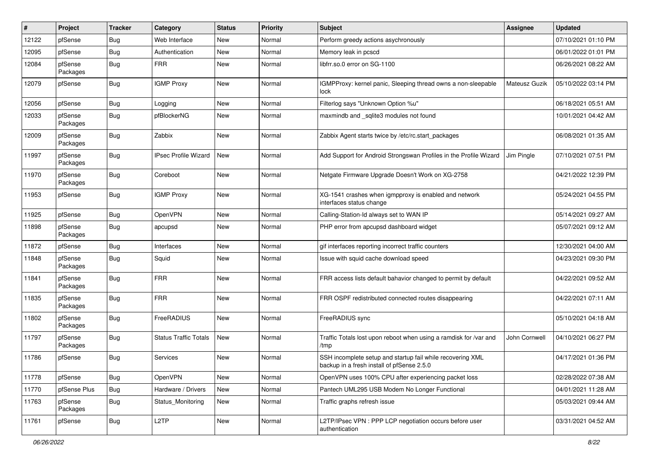| #     | Project             | <b>Tracker</b> | Category                     | <b>Status</b> | Priority | Subject                                                                                                  | <b>Assignee</b> | <b>Updated</b>      |
|-------|---------------------|----------------|------------------------------|---------------|----------|----------------------------------------------------------------------------------------------------------|-----------------|---------------------|
| 12122 | pfSense             | <b>Bug</b>     | Web Interface                | New           | Normal   | Perform greedy actions asychronously                                                                     |                 | 07/10/2021 01:10 PM |
| 12095 | pfSense             | <b>Bug</b>     | Authentication               | New           | Normal   | Memory leak in pcscd                                                                                     |                 | 06/01/2022 01:01 PM |
| 12084 | pfSense<br>Packages | <b>Bug</b>     | <b>FRR</b>                   | <b>New</b>    | Normal   | libfrr.so.0 error on SG-1100                                                                             |                 | 06/26/2021 08:22 AM |
| 12079 | pfSense             | <b>Bug</b>     | <b>IGMP Proxy</b>            | New           | Normal   | IGMPProxy: kernel panic, Sleeping thread owns a non-sleepable<br>lock                                    | Mateusz Guzik   | 05/10/2022 03:14 PM |
| 12056 | pfSense             | <b>Bug</b>     | Logging                      | New           | Normal   | Filterlog says "Unknown Option %u"                                                                       |                 | 06/18/2021 05:51 AM |
| 12033 | pfSense<br>Packages | <b>Bug</b>     | pfBlockerNG                  | <b>New</b>    | Normal   | maxmindb and _sqlite3 modules not found                                                                  |                 | 10/01/2021 04:42 AM |
| 12009 | pfSense<br>Packages | <b>Bug</b>     | Zabbix                       | <b>New</b>    | Normal   | Zabbix Agent starts twice by /etc/rc.start_packages                                                      |                 | 06/08/2021 01:35 AM |
| 11997 | pfSense<br>Packages | <b>Bug</b>     | <b>IPsec Profile Wizard</b>  | <b>New</b>    | Normal   | Add Support for Android Strongswan Profiles in the Profile Wizard                                        | Jim Pingle      | 07/10/2021 07:51 PM |
| 11970 | pfSense<br>Packages | Bug            | Coreboot                     | <b>New</b>    | Normal   | Netgate Firmware Upgrade Doesn't Work on XG-2758                                                         |                 | 04/21/2022 12:39 PM |
| 11953 | pfSense             | Bug            | <b>IGMP Proxy</b>            | <b>New</b>    | Normal   | XG-1541 crashes when igmpproxy is enabled and network<br>interfaces status change                        |                 | 05/24/2021 04:55 PM |
| 11925 | pfSense             | <b>Bug</b>     | OpenVPN                      | New           | Normal   | Calling-Station-Id always set to WAN IP                                                                  |                 | 05/14/2021 09:27 AM |
| 11898 | pfSense<br>Packages | <b>Bug</b>     | apcupsd                      | <b>New</b>    | Normal   | PHP error from apcupsd dashboard widget                                                                  |                 | 05/07/2021 09:12 AM |
| 11872 | pfSense             | Bug            | Interfaces                   | <b>New</b>    | Normal   | gif interfaces reporting incorrect traffic counters                                                      |                 | 12/30/2021 04:00 AM |
| 11848 | pfSense<br>Packages | Bug            | Squid                        | New           | Normal   | Issue with squid cache download speed                                                                    |                 | 04/23/2021 09:30 PM |
| 11841 | pfSense<br>Packages | <b>Bug</b>     | <b>FRR</b>                   | <b>New</b>    | Normal   | FRR access lists default bahavior changed to permit by default                                           |                 | 04/22/2021 09:52 AM |
| 11835 | pfSense<br>Packages | <b>Bug</b>     | <b>FRR</b>                   | New           | Normal   | FRR OSPF redistributed connected routes disappearing                                                     |                 | 04/22/2021 07:11 AM |
| 11802 | pfSense<br>Packages | <b>Bug</b>     | FreeRADIUS                   | <b>New</b>    | Normal   | FreeRADIUS sync                                                                                          |                 | 05/10/2021 04:18 AM |
| 11797 | pfSense<br>Packages | <b>Bug</b>     | <b>Status Traffic Totals</b> | <b>New</b>    | Normal   | Traffic Totals lost upon reboot when using a ramdisk for /var and<br>/tmp                                | John Cornwell   | 04/10/2021 06:27 PM |
| 11786 | pfSense             | Bug            | Services                     | New           | Normal   | SSH incomplete setup and startup fail while recovering XML<br>backup in a fresh install of pfSense 2.5.0 |                 | 04/17/2021 01:36 PM |
| 11778 | pfSense             | Bug            | OpenVPN                      | New           | Normal   | OpenVPN uses 100% CPU after experiencing packet loss                                                     |                 | 02/28/2022 07:38 AM |
| 11770 | pfSense Plus        | Bug            | Hardware / Drivers           | <b>New</b>    | Normal   | Pantech UML295 USB Modem No Longer Functional                                                            |                 | 04/01/2021 11:28 AM |
| 11763 | pfSense<br>Packages | Bug            | Status_Monitoring            | New           | Normal   | Traffic graphs refresh issue                                                                             |                 | 05/03/2021 09:44 AM |
| 11761 | pfSense             | <b>Bug</b>     | L <sub>2</sub> TP            | New           | Normal   | L2TP/IPsec VPN : PPP LCP negotiation occurs before user<br>authentication                                |                 | 03/31/2021 04:52 AM |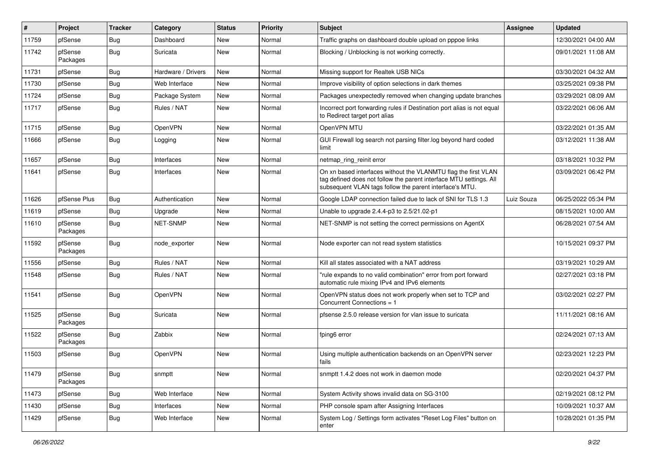| #     | Project             | <b>Tracker</b> | Category           | <b>Status</b> | <b>Priority</b> | <b>Subject</b>                                                                                                                                                                                  | Assignee   | <b>Updated</b>      |
|-------|---------------------|----------------|--------------------|---------------|-----------------|-------------------------------------------------------------------------------------------------------------------------------------------------------------------------------------------------|------------|---------------------|
| 11759 | pfSense             | <b>Bug</b>     | Dashboard          | New           | Normal          | Traffic graphs on dashboard double upload on pppoe links                                                                                                                                        |            | 12/30/2021 04:00 AM |
| 11742 | pfSense<br>Packages | Bug            | Suricata           | New           | Normal          | Blocking / Unblocking is not working correctly.                                                                                                                                                 |            | 09/01/2021 11:08 AM |
| 11731 | pfSense             | Bug            | Hardware / Drivers | <b>New</b>    | Normal          | Missing support for Realtek USB NICs                                                                                                                                                            |            | 03/30/2021 04:32 AM |
| 11730 | pfSense             | Bug            | Web Interface      | New           | Normal          | Improve visibility of option selections in dark themes                                                                                                                                          |            | 03/25/2021 09:38 PM |
| 11724 | pfSense             | Bug            | Package System     | New           | Normal          | Packages unexpectedly removed when changing update branches                                                                                                                                     |            | 03/29/2021 08:09 AM |
| 11717 | pfSense             | Bug            | Rules / NAT        | New           | Normal          | Incorrect port forwarding rules if Destination port alias is not equal<br>to Redirect target port alias                                                                                         |            | 03/22/2021 06:06 AM |
| 11715 | pfSense             | Bug            | OpenVPN            | New           | Normal          | OpenVPN MTU                                                                                                                                                                                     |            | 03/22/2021 01:35 AM |
| 11666 | pfSense             | Bug            | Logging            | New           | Normal          | GUI Firewall log search not parsing filter log beyond hard coded<br>limit                                                                                                                       |            | 03/12/2021 11:38 AM |
| 11657 | pfSense             | Bug            | Interfaces         | New           | Normal          | netmap_ring_reinit error                                                                                                                                                                        |            | 03/18/2021 10:32 PM |
| 11641 | pfSense             | Bug            | Interfaces         | New           | Normal          | On xn based interfaces without the VLANMTU flag the first VLAN<br>tag defined does not follow the parent interface MTU settings. All<br>subsequent VLAN tags follow the parent interface's MTU. |            | 03/09/2021 06:42 PM |
| 11626 | pfSense Plus        | Bug            | Authentication     | <b>New</b>    | Normal          | Google LDAP connection failed due to lack of SNI for TLS 1.3                                                                                                                                    | Luiz Souza | 06/25/2022 05:34 PM |
| 11619 | pfSense             | Bug            | Upgrade            | New           | Normal          | Unable to upgrade 2.4.4-p3 to 2.5/21.02-p1                                                                                                                                                      |            | 08/15/2021 10:00 AM |
| 11610 | pfSense<br>Packages | Bug            | NET-SNMP           | New           | Normal          | NET-SNMP is not setting the correct permissions on AgentX                                                                                                                                       |            | 06/28/2021 07:54 AM |
| 11592 | pfSense<br>Packages | Bug            | node exporter      | New           | Normal          | Node exporter can not read system statistics                                                                                                                                                    |            | 10/15/2021 09:37 PM |
| 11556 | pfSense             | Bug            | Rules / NAT        | New           | Normal          | Kill all states associated with a NAT address                                                                                                                                                   |            | 03/19/2021 10:29 AM |
| 11548 | pfSense             | Bug            | Rules / NAT        | New           | Normal          | "rule expands to no valid combination" error from port forward<br>automatic rule mixing IPv4 and IPv6 elements                                                                                  |            | 02/27/2021 03:18 PM |
| 11541 | pfSense             | Bug            | OpenVPN            | New           | Normal          | OpenVPN status does not work properly when set to TCP and<br>Concurrent Connections = 1                                                                                                         |            | 03/02/2021 02:27 PM |
| 11525 | pfSense<br>Packages | <b>Bug</b>     | Suricata           | <b>New</b>    | Normal          | pfsense 2.5.0 release version for vlan issue to suricata                                                                                                                                        |            | 11/11/2021 08:16 AM |
| 11522 | pfSense<br>Packages | Bug            | Zabbix             | New           | Normal          | fping6 error                                                                                                                                                                                    |            | 02/24/2021 07:13 AM |
| 11503 | pfSense             | Bug            | OpenVPN            | New           | Normal          | Using multiple authentication backends on an OpenVPN server<br>fails                                                                                                                            |            | 02/23/2021 12:23 PM |
| 11479 | pfSense<br>Packages | <b>Bug</b>     | snmptt             | New           | Normal          | snmptt 1.4.2 does not work in daemon mode                                                                                                                                                       |            | 02/20/2021 04:37 PM |
| 11473 | pfSense             | <b>Bug</b>     | Web Interface      | New           | Normal          | System Activity shows invalid data on SG-3100                                                                                                                                                   |            | 02/19/2021 08:12 PM |
| 11430 | pfSense             | <b>Bug</b>     | Interfaces         | New           | Normal          | PHP console spam after Assigning Interfaces                                                                                                                                                     |            | 10/09/2021 10:37 AM |
| 11429 | pfSense             | <b>Bug</b>     | Web Interface      | New           | Normal          | System Log / Settings form activates "Reset Log Files" button on<br>enter                                                                                                                       |            | 10/28/2021 01:35 PM |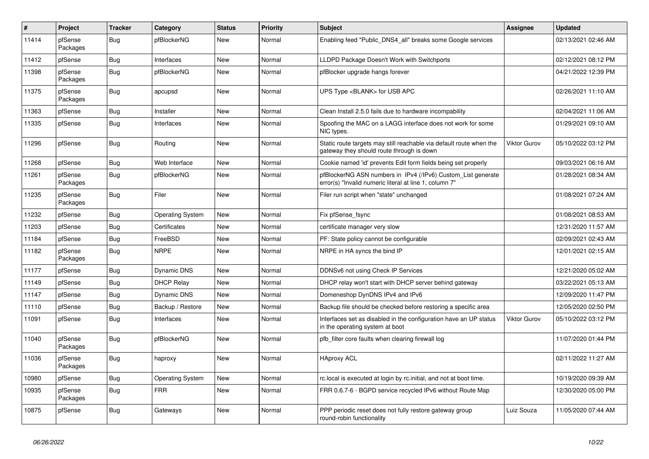| $\vert$ # | Project             | <b>Tracker</b> | Category                | <b>Status</b> | <b>Priority</b> | <b>Subject</b>                                                                                                         | <b>Assignee</b> | <b>Updated</b>      |
|-----------|---------------------|----------------|-------------------------|---------------|-----------------|------------------------------------------------------------------------------------------------------------------------|-----------------|---------------------|
| 11414     | pfSense<br>Packages | Bug            | pfBlockerNG             | <b>New</b>    | Normal          | Enabling feed "Public DNS4 all" breaks some Google services                                                            |                 | 02/13/2021 02:46 AM |
| 11412     | pfSense             | <b>Bug</b>     | Interfaces              | <b>New</b>    | Normal          | LLDPD Package Doesn't Work with Switchports                                                                            |                 | 02/12/2021 08:12 PM |
| 11398     | pfSense<br>Packages | <b>Bug</b>     | pfBlockerNG             | <b>New</b>    | Normal          | pfBlocker upgrade hangs forever                                                                                        |                 | 04/21/2022 12:39 PM |
| 11375     | pfSense<br>Packages | <b>Bug</b>     | apcupsd                 | <b>New</b>    | Normal          | UPS Type <blank> for USB APC</blank>                                                                                   |                 | 02/26/2021 11:10 AM |
| 11363     | pfSense             | <b>Bug</b>     | Installer               | <b>New</b>    | Normal          | Clean Install 2.5.0 fails due to hardware incompability                                                                |                 | 02/04/2021 11:06 AM |
| 11335     | pfSense             | <b>Bug</b>     | Interfaces              | <b>New</b>    | Normal          | Spoofing the MAC on a LAGG interface does not work for some<br>NIC types.                                              |                 | 01/29/2021 09:10 AM |
| 11296     | pfSense             | Bug            | Routing                 | <b>New</b>    | Normal          | Static route targets may still reachable via default route when the<br>gateway they should route through is down       | Viktor Gurov    | 05/10/2022 03:12 PM |
| 11268     | pfSense             | Bug            | Web Interface           | <b>New</b>    | Normal          | Cookie named 'id' prevents Edit form fields being set properly                                                         |                 | 09/03/2021 06:16 AM |
| 11261     | pfSense<br>Packages | Bug            | pfBlockerNG             | <b>New</b>    | Normal          | pfBlockerNG ASN numbers in IPv4 (/IPv6) Custom_List generate<br>error(s) "Invalid numeric literal at line 1, column 7" |                 | 01/28/2021 08:34 AM |
| 11235     | pfSense<br>Packages | Bug            | Filer                   | <b>New</b>    | Normal          | Filer run script when "state" unchanged                                                                                |                 | 01/08/2021 07:24 AM |
| 11232     | pfSense             | <b>Bug</b>     | <b>Operating System</b> | New           | Normal          | Fix pfSense fsync                                                                                                      |                 | 01/08/2021 08:53 AM |
| 11203     | pfSense             | Bug            | Certificates            | New           | Normal          | certificate manager very slow                                                                                          |                 | 12/31/2020 11:57 AM |
| 11184     | pfSense             | Bug            | FreeBSD                 | New           | Normal          | PF: State policy cannot be configurable                                                                                |                 | 02/09/2021 02:43 AM |
| 11182     | pfSense<br>Packages | <b>Bug</b>     | <b>NRPE</b>             | <b>New</b>    | Normal          | NRPE in HA syncs the bind IP                                                                                           |                 | 12/01/2021 02:15 AM |
| 11177     | pfSense             | Bug            | Dynamic DNS             | <b>New</b>    | Normal          | DDNSv6 not using Check IP Services                                                                                     |                 | 12/21/2020 05:02 AM |
| 11149     | pfSense             | Bug            | <b>DHCP Relay</b>       | <b>New</b>    | Normal          | DHCP relay won't start with DHCP server behind gateway                                                                 |                 | 03/22/2021 05:13 AM |
| 11147     | pfSense             | Bug            | Dynamic DNS             | <b>New</b>    | Normal          | Domeneshop DynDNS IPv4 and IPv6                                                                                        |                 | 12/09/2020 11:47 PM |
| 11110     | pfSense             | <b>Bug</b>     | Backup / Restore        | New           | Normal          | Backup file should be checked before restoring a specific area                                                         |                 | 12/05/2020 02:50 PM |
| 11091     | pfSense             | <b>Bug</b>     | Interfaces              | <b>New</b>    | Normal          | Interfaces set as disabled in the configuration have an UP status<br>in the operating system at boot                   | Viktor Gurov    | 05/10/2022 03:12 PM |
| 11040     | pfSense<br>Packages | <b>Bug</b>     | pfBlockerNG             | <b>New</b>    | Normal          | pfb filter core faults when clearing firewall log                                                                      |                 | 11/07/2020 01:44 PM |
| 11036     | pfSense<br>Packages | <b>Bug</b>     | haproxy                 | New           | Normal          | <b>HAproxy ACL</b>                                                                                                     |                 | 02/11/2022 11:27 AM |
| 10980     | pfSense             | <b>Bug</b>     | <b>Operating System</b> | <b>New</b>    | Normal          | rc.local is executed at login by rc.initial, and not at boot time.                                                     |                 | 10/19/2020 09:39 AM |
| 10935     | pfSense<br>Packages | <b>Bug</b>     | <b>FRR</b>              | <b>New</b>    | Normal          | FRR 0.6.7-6 - BGPD service recycled IPv6 without Route Map                                                             |                 | 12/30/2020 05:00 PM |
| 10875     | pfSense             | Bug            | Gateways                | <b>New</b>    | Normal          | PPP periodic reset does not fully restore gateway group<br>round-robin functionality                                   | Luiz Souza      | 11/05/2020 07:44 AM |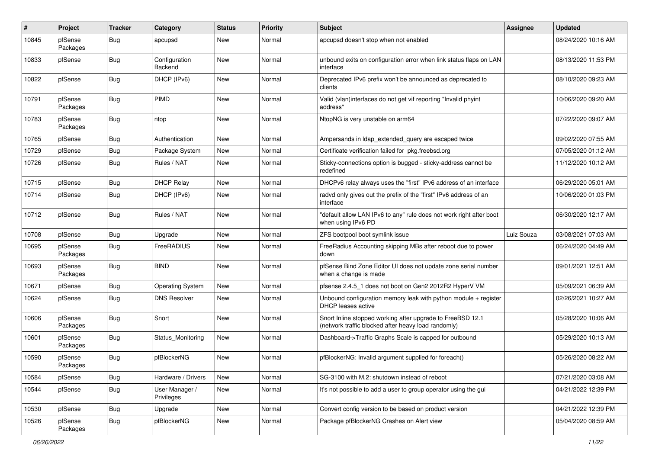| ∦     | Project             | <b>Tracker</b> | Category                     | <b>Status</b> | <b>Priority</b> | <b>Subject</b>                                                                                                    | Assignee   | <b>Updated</b>      |
|-------|---------------------|----------------|------------------------------|---------------|-----------------|-------------------------------------------------------------------------------------------------------------------|------------|---------------------|
| 10845 | pfSense<br>Packages | Bug            | apcupsd                      | New           | Normal          | apcupsd doesn't stop when not enabled                                                                             |            | 08/24/2020 10:16 AM |
| 10833 | pfSense             | Bug            | Configuration<br>Backend     | <b>New</b>    | Normal          | unbound exits on configuration error when link status flaps on LAN<br>interface                                   |            | 08/13/2020 11:53 PM |
| 10822 | pfSense             | Bug            | DHCP (IPv6)                  | <b>New</b>    | Normal          | Deprecated IPv6 prefix won't be announced as deprecated to<br>clients                                             |            | 08/10/2020 09:23 AM |
| 10791 | pfSense<br>Packages | <b>Bug</b>     | <b>PIMD</b>                  | New           | Normal          | Valid (vlan)interfaces do not get vif reporting "Invalid phyint<br>address"                                       |            | 10/06/2020 09:20 AM |
| 10783 | pfSense<br>Packages | <b>Bug</b>     | ntop                         | <b>New</b>    | Normal          | NtopNG is very unstable on arm64                                                                                  |            | 07/22/2020 09:07 AM |
| 10765 | pfSense             | Bug            | Authentication               | New           | Normal          | Ampersands in Idap extended query are escaped twice                                                               |            | 09/02/2020 07:55 AM |
| 10729 | pfSense             | <b>Bug</b>     | Package System               | New           | Normal          | Certificate verification failed for pkg.freebsd.org                                                               |            | 07/05/2020 01:12 AM |
| 10726 | pfSense             | Bug            | Rules / NAT                  | <b>New</b>    | Normal          | Sticky-connections option is bugged - sticky-address cannot be<br>redefined                                       |            | 11/12/2020 10:12 AM |
| 10715 | pfSense             | <b>Bug</b>     | <b>DHCP Relay</b>            | <b>New</b>    | Normal          | DHCPv6 relay always uses the "first" IPv6 address of an interface                                                 |            | 06/29/2020 05:01 AM |
| 10714 | pfSense             | Bug            | DHCP (IPv6)                  | New           | Normal          | radvd only gives out the prefix of the "first" IPv6 address of an<br>interface                                    |            | 10/06/2020 01:03 PM |
| 10712 | pfSense             | Bug            | Rules / NAT                  | New           | Normal          | "default allow LAN IPv6 to any" rule does not work right after boot<br>when using IPv6 PD                         |            | 06/30/2020 12:17 AM |
| 10708 | pfSense             | Bug            | Upgrade                      | New           | Normal          | ZFS bootpool boot symlink issue                                                                                   | Luiz Souza | 03/08/2021 07:03 AM |
| 10695 | pfSense<br>Packages | <b>Bug</b>     | FreeRADIUS                   | <b>New</b>    | Normal          | FreeRadius Accounting skipping MBs after reboot due to power<br>down                                              |            | 06/24/2020 04:49 AM |
| 10693 | pfSense<br>Packages | Bug            | <b>BIND</b>                  | <b>New</b>    | Normal          | pfSense Bind Zone Editor UI does not update zone serial number<br>when a change is made                           |            | 09/01/2021 12:51 AM |
| 10671 | pfSense             | <b>Bug</b>     | <b>Operating System</b>      | <b>New</b>    | Normal          | pfsense 2.4.5_1 does not boot on Gen2 2012R2 HyperV VM                                                            |            | 05/09/2021 06:39 AM |
| 10624 | pfSense             | <b>Bug</b>     | <b>DNS Resolver</b>          | New           | Normal          | Unbound configuration memory leak with python module $+$ register<br><b>DHCP</b> leases active                    |            | 02/26/2021 10:27 AM |
| 10606 | pfSense<br>Packages | Bug            | Snort                        | <b>New</b>    | Normal          | Snort Inline stopped working after upgrade to FreeBSD 12.1<br>(network traffic blocked after heavy load randomly) |            | 05/28/2020 10:06 AM |
| 10601 | pfSense<br>Packages | <b>Bug</b>     | Status Monitoring            | <b>New</b>    | Normal          | Dashboard->Traffic Graphs Scale is capped for outbound                                                            |            | 05/29/2020 10:13 AM |
| 10590 | pfSense<br>Packages | <b>Bug</b>     | pfBlockerNG                  | <b>New</b>    | Normal          | pfBlockerNG: Invalid argument supplied for foreach()                                                              |            | 05/26/2020 08:22 AM |
| 10584 | pfSense             | Bug            | Hardware / Drivers           | New           | Normal          | SG-3100 with M.2: shutdown instead of reboot                                                                      |            | 07/21/2020 03:08 AM |
| 10544 | pfSense             | Bug            | User Manager /<br>Privileges | New           | Normal          | It's not possible to add a user to group operator using the gui                                                   |            | 04/21/2022 12:39 PM |
| 10530 | pfSense             | <b>Bug</b>     | Upgrade                      | New           | Normal          | Convert config version to be based on product version                                                             |            | 04/21/2022 12:39 PM |
| 10526 | pfSense<br>Packages | <b>Bug</b>     | pfBlockerNG                  | New           | Normal          | Package pfBlockerNG Crashes on Alert view                                                                         |            | 05/04/2020 08:59 AM |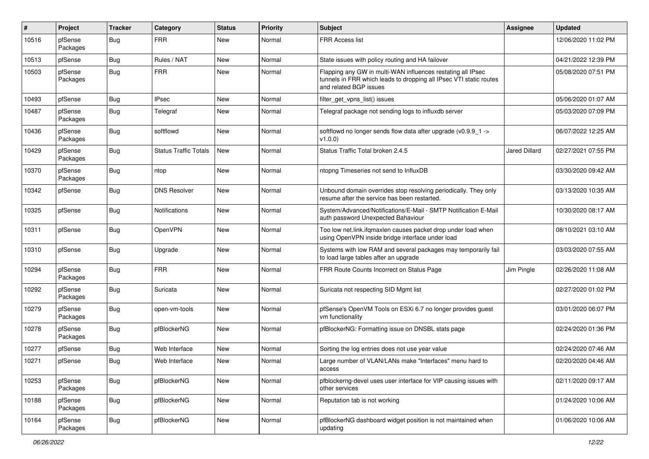| #     | Project             | <b>Tracker</b> | Category                     | <b>Status</b> | <b>Priority</b> | <b>Subject</b>                                                                                                                                              | Assignee             | <b>Updated</b>      |
|-------|---------------------|----------------|------------------------------|---------------|-----------------|-------------------------------------------------------------------------------------------------------------------------------------------------------------|----------------------|---------------------|
| 10516 | pfSense<br>Packages | Bug            | <b>FRR</b>                   | New           | Normal          | FRR Access list                                                                                                                                             |                      | 12/06/2020 11:02 PM |
| 10513 | pfSense             | Bug            | Rules / NAT                  | <b>New</b>    | Normal          | State issues with policy routing and HA failover                                                                                                            |                      | 04/21/2022 12:39 PM |
| 10503 | pfSense<br>Packages | <b>Bug</b>     | <b>FRR</b>                   | New           | Normal          | Flapping any GW in multi-WAN influences restating all IPsec<br>tunnels in FRR which leads to dropping all IPsec VTI static routes<br>and related BGP issues |                      | 05/08/2020 07:51 PM |
| 10493 | pfSense             | Bug            | <b>IPsec</b>                 | <b>New</b>    | Normal          | filter get vpns list() issues                                                                                                                               |                      | 05/06/2020 01:07 AM |
| 10487 | pfSense<br>Packages | Bug            | Telegraf                     | <b>New</b>    | Normal          | Telegraf package not sending logs to influxdb server                                                                                                        |                      | 05/03/2020 07:09 PM |
| 10436 | pfSense<br>Packages | <b>Bug</b>     | softflowd                    | New           | Normal          | softflowd no longer sends flow data after upgrade (v0.9.9_1 -><br>v1.0.0)                                                                                   |                      | 06/07/2022 12:25 AM |
| 10429 | pfSense<br>Packages | Bug            | <b>Status Traffic Totals</b> | New           | Normal          | Status Traffic Total broken 2.4.5                                                                                                                           | <b>Jared Dillard</b> | 02/27/2021 07:55 PM |
| 10370 | pfSense<br>Packages | Bug            | ntop                         | New           | Normal          | ntopng Timeseries not send to InfluxDB                                                                                                                      |                      | 03/30/2020 09:42 AM |
| 10342 | pfSense             | Bug            | <b>DNS Resolver</b>          | New           | Normal          | Unbound domain overrides stop resolving periodically. They only<br>resume after the service has been restarted.                                             |                      | 03/13/2020 10:35 AM |
| 10325 | pfSense             | Bug            | <b>Notifications</b>         | <b>New</b>    | Normal          | System/Advanced/Notifications/E-Mail - SMTP Notification E-Mail<br>auth password Unexpected Bahaviour                                                       |                      | 10/30/2020 08:17 AM |
| 10311 | pfSense             | Bug            | OpenVPN                      | New           | Normal          | Too low net.link.ifqmaxlen causes packet drop under load when<br>using OpenVPN inside bridge interface under load                                           |                      | 08/10/2021 03:10 AM |
| 10310 | pfSense             | Bug            | Upgrade                      | New           | Normal          | Systems with low RAM and several packages may temporarily fail<br>to load large tables after an upgrade                                                     |                      | 03/03/2020 07:55 AM |
| 10294 | pfSense<br>Packages | <b>Bug</b>     | <b>FRR</b>                   | <b>New</b>    | Normal          | FRR Route Counts Incorrect on Status Page                                                                                                                   | Jim Pingle           | 02/26/2020 11:08 AM |
| 10292 | pfSense<br>Packages | <b>Bug</b>     | Suricata                     | <b>New</b>    | Normal          | Suricata not respecting SID Mgmt list                                                                                                                       |                      | 02/27/2020 01:02 PM |
| 10279 | pfSense<br>Packages | <b>Bug</b>     | open-vm-tools                | New           | Normal          | pfSense's OpenVM Tools on ESXi 6.7 no longer provides guest<br>vm functionality                                                                             |                      | 03/01/2020 06:07 PM |
| 10278 | pfSense<br>Packages | <b>Bug</b>     | pfBlockerNG                  | New           | Normal          | pfBlockerNG: Formatting issue on DNSBL stats page                                                                                                           |                      | 02/24/2020 01:36 PM |
| 10277 | pfSense             | Bug            | Web Interface                | <b>New</b>    | Normal          | Sorting the log entries does not use year value                                                                                                             |                      | 02/24/2020 07:46 AM |
| 10271 | pfSense             | Bug            | Web Interface                | New           | Normal          | Large number of VLAN/LANs make "Interfaces" menu hard to<br>access                                                                                          |                      | 02/20/2020 04:46 AM |
| 10253 | pfSense<br>Packages | Bug            | pfBlockerNG                  | New           | Normal          | pfblockerng-devel uses user interface for VIP causing issues with<br>other services                                                                         |                      | 02/11/2020 09:17 AM |
| 10188 | pfSense<br>Packages | Bug            | pfBlockerNG                  | New           | Normal          | Reputation tab is not working                                                                                                                               |                      | 01/24/2020 10:06 AM |
| 10164 | pfSense<br>Packages | Bug            | pfBlockerNG                  | New           | Normal          | pfBlockerNG dashboard widget position is not maintained when<br>updating                                                                                    |                      | 01/06/2020 10:06 AM |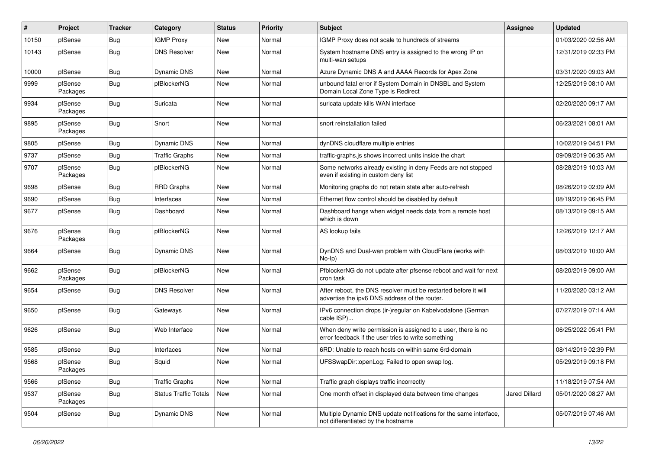| #     | Project             | <b>Tracker</b> | Category                     | <b>Status</b> | <b>Priority</b> | <b>Subject</b>                                                                                                       | <b>Assignee</b> | <b>Updated</b>      |
|-------|---------------------|----------------|------------------------------|---------------|-----------------|----------------------------------------------------------------------------------------------------------------------|-----------------|---------------------|
| 10150 | pfSense             | <b>Bug</b>     | <b>IGMP Proxy</b>            | New           | Normal          | IGMP Proxy does not scale to hundreds of streams                                                                     |                 | 01/03/2020 02:56 AM |
| 10143 | pfSense             | <b>Bug</b>     | <b>DNS Resolver</b>          | New           | Normal          | System hostname DNS entry is assigned to the wrong IP on<br>multi-wan setups                                         |                 | 12/31/2019 02:33 PM |
| 10000 | pfSense             | <b>Bug</b>     | Dynamic DNS                  | <b>New</b>    | Normal          | Azure Dynamic DNS A and AAAA Records for Apex Zone                                                                   |                 | 03/31/2020 09:03 AM |
| 9999  | pfSense<br>Packages | Bug            | pfBlockerNG                  | <b>New</b>    | Normal          | unbound fatal error if System Domain in DNSBL and System<br>Domain Local Zone Type is Redirect                       |                 | 12/25/2019 08:10 AM |
| 9934  | pfSense<br>Packages | <b>Bug</b>     | Suricata                     | New           | Normal          | suricata update kills WAN interface                                                                                  |                 | 02/20/2020 09:17 AM |
| 9895  | pfSense<br>Packages | <b>Bug</b>     | Snort                        | New           | Normal          | snort reinstallation failed                                                                                          |                 | 06/23/2021 08:01 AM |
| 9805  | pfSense             | <b>Bug</b>     | Dynamic DNS                  | <b>New</b>    | Normal          | dynDNS cloudflare multiple entries                                                                                   |                 | 10/02/2019 04:51 PM |
| 9737  | pfSense             | <b>Bug</b>     | <b>Traffic Graphs</b>        | New           | Normal          | traffic-graphs.js shows incorrect units inside the chart                                                             |                 | 09/09/2019 06:35 AM |
| 9707  | pfSense<br>Packages | <b>Bug</b>     | pfBlockerNG                  | New           | Normal          | Some networks already existing in deny Feeds are not stopped<br>even if existing in custom deny list                 |                 | 08/28/2019 10:03 AM |
| 9698  | pfSense             | <b>Bug</b>     | <b>RRD Graphs</b>            | <b>New</b>    | Normal          | Monitoring graphs do not retain state after auto-refresh                                                             |                 | 08/26/2019 02:09 AM |
| 9690  | pfSense             | <b>Bug</b>     | Interfaces                   | <b>New</b>    | Normal          | Ethernet flow control should be disabled by default                                                                  |                 | 08/19/2019 06:45 PM |
| 9677  | pfSense             | <b>Bug</b>     | Dashboard                    | New           | Normal          | Dashboard hangs when widget needs data from a remote host<br>which is down                                           |                 | 08/13/2019 09:15 AM |
| 9676  | pfSense<br>Packages | Bug            | pfBlockerNG                  | <b>New</b>    | Normal          | AS lookup fails                                                                                                      |                 | 12/26/2019 12:17 AM |
| 9664  | pfSense             | <b>Bug</b>     | Dynamic DNS                  | <b>New</b>    | Normal          | DynDNS and Dual-wan problem with CloudFlare (works with<br>$No-Ip)$                                                  |                 | 08/03/2019 10:00 AM |
| 9662  | pfSense<br>Packages | <b>Bug</b>     | pfBlockerNG                  | <b>New</b>    | Normal          | PfblockerNG do not update after pfsense reboot and wait for next<br>cron task                                        |                 | 08/20/2019 09:00 AM |
| 9654  | pfSense             | Bug            | <b>DNS Resolver</b>          | <b>New</b>    | Normal          | After reboot, the DNS resolver must be restarted before it will<br>advertise the ipv6 DNS address of the router.     |                 | 11/20/2020 03:12 AM |
| 9650  | pfSense             | Bug            | Gateways                     | New           | Normal          | IPv6 connection drops (ir-)regular on Kabelvodafone (German<br>cable ISP)                                            |                 | 07/27/2019 07:14 AM |
| 9626  | pfSense             | <b>Bug</b>     | Web Interface                | New           | Normal          | When deny write permission is assigned to a user, there is no<br>error feedback if the user tries to write something |                 | 06/25/2022 05:41 PM |
| 9585  | pfSense             | <b>Bug</b>     | Interfaces                   | <b>New</b>    | Normal          | 6RD: Unable to reach hosts on within same 6rd-domain                                                                 |                 | 08/14/2019 02:39 PM |
| 9568  | pfSense<br>Packages | <b>Bug</b>     | Squid                        | New           | Normal          | UFSSwapDir::openLog: Failed to open swap log.                                                                        |                 | 05/29/2019 09:18 PM |
| 9566  | pfSense             | Bug            | <b>Traffic Graphs</b>        | <b>New</b>    | Normal          | Traffic graph displays traffic incorrectly                                                                           |                 | 11/18/2019 07:54 AM |
| 9537  | pfSense<br>Packages | Bug            | <b>Status Traffic Totals</b> | New           | Normal          | One month offset in displayed data between time changes                                                              | Jared Dillard   | 05/01/2020 08:27 AM |
| 9504  | pfSense             | <b>Bug</b>     | Dynamic DNS                  | New           | Normal          | Multiple Dynamic DNS update notifications for the same interface,<br>not differentiated by the hostname              |                 | 05/07/2019 07:46 AM |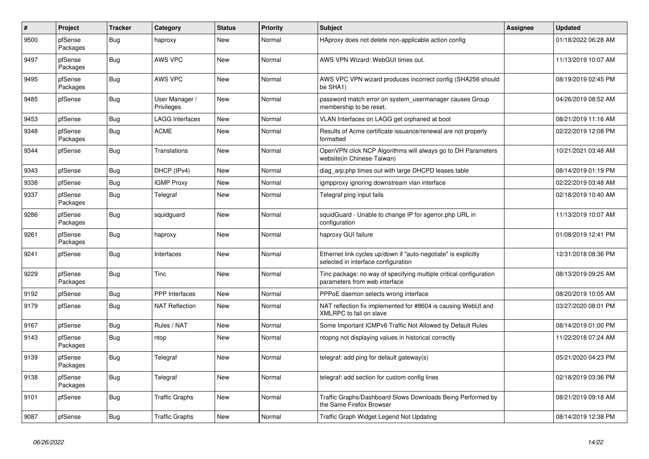| $\vert$ # | Project             | <b>Tracker</b> | Category                     | <b>Status</b> | <b>Priority</b> | <b>Subject</b>                                                                                        | <b>Assignee</b> | <b>Updated</b>      |
|-----------|---------------------|----------------|------------------------------|---------------|-----------------|-------------------------------------------------------------------------------------------------------|-----------------|---------------------|
| 9500      | pfSense<br>Packages | Bug            | haproxy                      | <b>New</b>    | Normal          | HAproxy does not delete non-applicable action config                                                  |                 | 01/18/2022 06:28 AM |
| 9497      | pfSense<br>Packages | <b>Bug</b>     | <b>AWS VPC</b>               | <b>New</b>    | Normal          | AWS VPN Wizard: WebGUI times out.                                                                     |                 | 11/13/2019 10:07 AM |
| 9495      | pfSense<br>Packages | <b>Bug</b>     | <b>AWS VPC</b>               | <b>New</b>    | Normal          | AWS VPC VPN wizard produces incorrect config (SHA256 should<br>be SHA1)                               |                 | 08/19/2019 02:45 PM |
| 9485      | pfSense             | <b>Bug</b>     | User Manager /<br>Privileges | New           | Normal          | password match error on system usermanager causes Group<br>membership to be reset.                    |                 | 04/26/2019 08:52 AM |
| 9453      | pfSense             | <b>Bug</b>     | LAGG Interfaces              | New           | Normal          | VLAN Interfaces on LAGG get orphaned at boot                                                          |                 | 08/21/2019 11:16 AM |
| 9348      | pfSense<br>Packages | Bug            | <b>ACME</b>                  | <b>New</b>    | Normal          | Results of Acme certificate issuance/renewal are not properly<br>formatted                            |                 | 02/22/2019 12:08 PM |
| 9344      | pfSense             | Bug            | <b>Translations</b>          | <b>New</b>    | Normal          | OpenVPN click NCP Algorithms will always go to DH Parameters<br>website(in Chinese-Taiwan)            |                 | 10/21/2021 03:48 AM |
| 9343      | pfSense             | Bug            | DHCP (IPv4)                  | <b>New</b>    | Normal          | diag_arp.php times out with large DHCPD leases table                                                  |                 | 08/14/2019 01:19 PM |
| 9338      | pfSense             | <b>Bug</b>     | <b>IGMP Proxy</b>            | <b>New</b>    | Normal          | igmpproxy ignoring downstream vlan interface                                                          |                 | 02/22/2019 03:48 AM |
| 9337      | pfSense<br>Packages | Bug            | Telegraf                     | <b>New</b>    | Normal          | Telegraf ping input fails                                                                             |                 | 02/18/2019 10:40 AM |
| 9286      | pfSense<br>Packages | <b>Bug</b>     | squidguard                   | <b>New</b>    | Normal          | squidGuard - Unable to change IP for sgerror.php URL in<br>configuration                              |                 | 11/13/2019 10:07 AM |
| 9261      | pfSense<br>Packages | <b>Bug</b>     | haproxy                      | New           | Normal          | haproxy GUI failure                                                                                   |                 | 01/08/2019 12:41 PM |
| 9241      | pfSense             | Bug            | Interfaces                   | <b>New</b>    | Normal          | Ethernet link cycles up/down if "auto-negotiate" is explicitly<br>selected in interface configuration |                 | 12/31/2018 08:36 PM |
| 9229      | pfSense<br>Packages | <b>Bug</b>     | Tinc                         | <b>New</b>    | Normal          | Tinc package: no way of specifying multiple critical configuration<br>parameters from web interface   |                 | 08/13/2019 09:25 AM |
| 9192      | pfSense             | Bug            | PPP Interfaces               | <b>New</b>    | Normal          | PPPoE daemon selects wrong interface                                                                  |                 | 08/20/2019 10:05 AM |
| 9179      | pfSense             | Bug            | <b>NAT Reflection</b>        | <b>New</b>    | Normal          | NAT reflection fix implemented for #8604 is causing WebUI and<br>XMLRPC to fail on slave              |                 | 03/27/2020 08:01 PM |
| 9167      | pfSense             | <b>Bug</b>     | Rules / NAT                  | <b>New</b>    | Normal          | Some Important ICMPv6 Traffic Not Allowed by Default Rules                                            |                 | 08/14/2019 01:00 PM |
| 9143      | pfSense<br>Packages | <b>Bug</b>     | ntop                         | New           | Normal          | ntopng not displaying values in historical correctly                                                  |                 | 11/22/2018 07:24 AM |
| 9139      | pfSense<br>Packages | Bug            | Telegraf                     | <b>New</b>    | Normal          | telegraf: add ping for default gateway(s)                                                             |                 | 05/21/2020 04:23 PM |
| 9138      | pfSense<br>Packages | <b>Bug</b>     | Telegraf                     | New           | Normal          | telegraf: add section for custom config lines                                                         |                 | 02/18/2019 03:36 PM |
| 9101      | pfSense             | Bug            | <b>Traffic Graphs</b>        | New           | Normal          | Traffic Graphs/Dashboard Slows Downloads Being Performed by<br>the Same Firefox Browser               |                 | 08/21/2019 09:18 AM |
| 9087      | pfSense             | <b>Bug</b>     | <b>Traffic Graphs</b>        | <b>New</b>    | Normal          | Traffic Graph Widget Legend Not Updating                                                              |                 | 08/14/2019 12:38 PM |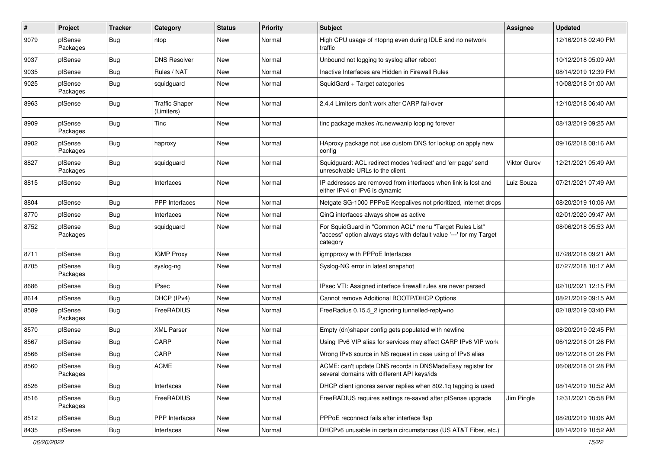| #    | Project             | <b>Tracker</b> | Category                            | <b>Status</b> | <b>Priority</b> | <b>Subject</b>                                                                                                                             | Assignee     | <b>Updated</b>      |
|------|---------------------|----------------|-------------------------------------|---------------|-----------------|--------------------------------------------------------------------------------------------------------------------------------------------|--------------|---------------------|
| 9079 | pfSense<br>Packages | <b>Bug</b>     | ntop                                | New           | Normal          | High CPU usage of ntopng even during IDLE and no network<br>traffic                                                                        |              | 12/16/2018 02:40 PM |
| 9037 | pfSense             | <b>Bug</b>     | <b>DNS Resolver</b>                 | New           | Normal          | Unbound not logging to syslog after reboot                                                                                                 |              | 10/12/2018 05:09 AM |
| 9035 | pfSense             | <b>Bug</b>     | Rules / NAT                         | New           | Normal          | Inactive Interfaces are Hidden in Firewall Rules                                                                                           |              | 08/14/2019 12:39 PM |
| 9025 | pfSense<br>Packages | <b>Bug</b>     | squidguard                          | New           | Normal          | SquidGard + Target categories                                                                                                              |              | 10/08/2018 01:00 AM |
| 8963 | pfSense             | <b>Bug</b>     | <b>Traffic Shaper</b><br>(Limiters) | New           | Normal          | 2.4.4 Limiters don't work after CARP fail-over                                                                                             |              | 12/10/2018 06:40 AM |
| 8909 | pfSense<br>Packages | <b>Bug</b>     | Tinc                                | New           | Normal          | tinc package makes /rc.newwanip looping forever                                                                                            |              | 08/13/2019 09:25 AM |
| 8902 | pfSense<br>Packages | <b>Bug</b>     | haproxy                             | New           | Normal          | HAproxy package not use custom DNS for lookup on apply new<br>config                                                                       |              | 09/16/2018 08:16 AM |
| 8827 | pfSense<br>Packages | <b>Bug</b>     | squidguard                          | <b>New</b>    | Normal          | Squidguard: ACL redirect modes 'redirect' and 'err page' send<br>unresolvable URLs to the client.                                          | Viktor Gurov | 12/21/2021 05:49 AM |
| 8815 | pfSense             | <b>Bug</b>     | Interfaces                          | <b>New</b>    | Normal          | IP addresses are removed from interfaces when link is lost and<br>either IPv4 or IPv6 is dynamic                                           | Luiz Souza   | 07/21/2021 07:49 AM |
| 8804 | pfSense             | <b>Bug</b>     | <b>PPP</b> Interfaces               | New           | Normal          | Netgate SG-1000 PPPoE Keepalives not prioritized, internet drops                                                                           |              | 08/20/2019 10:06 AM |
| 8770 | pfSense             | <b>Bug</b>     | Interfaces                          | New           | Normal          | QinQ interfaces always show as active                                                                                                      |              | 02/01/2020 09:47 AM |
| 8752 | pfSense<br>Packages | <b>Bug</b>     | squidguard                          | <b>New</b>    | Normal          | For SquidGuard in "Common ACL" menu "Target Rules List"<br>"access" option always stays with default value '---' for my Target<br>category |              | 08/06/2018 05:53 AM |
| 8711 | pfSense             | Bug            | <b>IGMP Proxy</b>                   | <b>New</b>    | Normal          | igmpproxy with PPPoE Interfaces                                                                                                            |              | 07/28/2018 09:21 AM |
| 8705 | pfSense<br>Packages | <b>Bug</b>     | syslog-ng                           | New           | Normal          | Syslog-NG error in latest snapshot                                                                                                         |              | 07/27/2018 10:17 AM |
| 8686 | pfSense             | Bug            | <b>IPsec</b>                        | New           | Normal          | IPsec VTI: Assigned interface firewall rules are never parsed                                                                              |              | 02/10/2021 12:15 PM |
| 8614 | pfSense             | <b>Bug</b>     | DHCP (IPv4)                         | New           | Normal          | Cannot remove Additional BOOTP/DHCP Options                                                                                                |              | 08/21/2019 09:15 AM |
| 8589 | pfSense<br>Packages | <b>Bug</b>     | FreeRADIUS                          | <b>New</b>    | Normal          | FreeRadius 0.15.5_2 ignoring tunnelled-reply=no                                                                                            |              | 02/18/2019 03:40 PM |
| 8570 | pfSense             | <b>Bug</b>     | <b>XML Parser</b>                   | New           | Normal          | Empty (dn)shaper config gets populated with newline                                                                                        |              | 08/20/2019 02:45 PM |
| 8567 | pfSense             | Bug            | CARP                                | New           | Normal          | Using IPv6 VIP alias for services may affect CARP IPv6 VIP work                                                                            |              | 06/12/2018 01:26 PM |
| 8566 | pfSense             | <b>Bug</b>     | CARP                                | New           | Normal          | Wrong IPv6 source in NS request in case using of IPv6 alias                                                                                |              | 06/12/2018 01:26 PM |
| 8560 | pfSense<br>Packages | <b>Bug</b>     | <b>ACME</b>                         | New           | Normal          | ACME: can't update DNS records in DNSMadeEasy registar for<br>several domains with different API keys/ids                                  |              | 06/08/2018 01:28 PM |
| 8526 | pfSense             | <b>Bug</b>     | Interfaces                          | New           | Normal          | DHCP client ignores server replies when 802.1q tagging is used                                                                             |              | 08/14/2019 10:52 AM |
| 8516 | pfSense<br>Packages | Bug            | FreeRADIUS                          | New           | Normal          | FreeRADIUS requires settings re-saved after pfSense upgrade                                                                                | Jim Pingle   | 12/31/2021 05:58 PM |
| 8512 | pfSense             | <b>Bug</b>     | PPP Interfaces                      | New           | Normal          | PPPoE reconnect fails after interface flap                                                                                                 |              | 08/20/2019 10:06 AM |
| 8435 | pfSense             | <b>Bug</b>     | Interfaces                          | New           | Normal          | DHCPv6 unusable in certain circumstances (US AT&T Fiber, etc.)                                                                             |              | 08/14/2019 10:52 AM |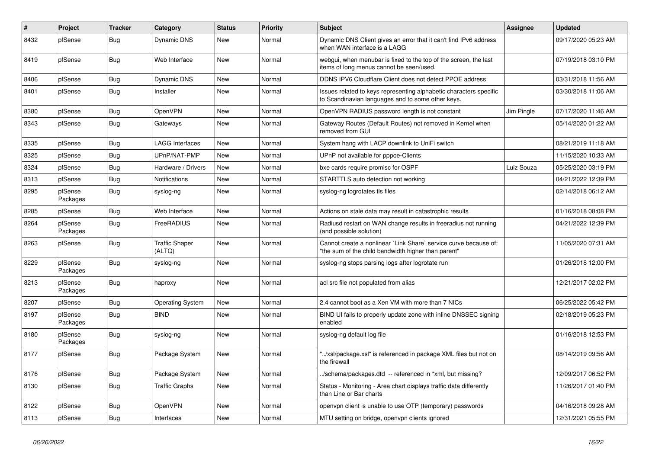| $\#$ | Project             | <b>Tracker</b> | Category                        | <b>Status</b> | <b>Priority</b> | <b>Subject</b>                                                                                                          | Assignee   | <b>Updated</b>      |
|------|---------------------|----------------|---------------------------------|---------------|-----------------|-------------------------------------------------------------------------------------------------------------------------|------------|---------------------|
| 8432 | pfSense             | Bug            | <b>Dynamic DNS</b>              | <b>New</b>    | Normal          | Dynamic DNS Client gives an error that it can't find IPv6 address<br>when WAN interface is a LAGG                       |            | 09/17/2020 05:23 AM |
| 8419 | pfSense             | Bug            | Web Interface                   | <b>New</b>    | Normal          | webgui, when menubar is fixed to the top of the screen, the last<br>items of long menus cannot be seen/used.            |            | 07/19/2018 03:10 PM |
| 8406 | pfSense             | Bug            | <b>Dynamic DNS</b>              | <b>New</b>    | Normal          | DDNS IPV6 Cloudflare Client does not detect PPOE address                                                                |            | 03/31/2018 11:56 AM |
| 8401 | pfSense             | Bug            | Installer                       | <b>New</b>    | Normal          | Issues related to keys representing alphabetic characters specific<br>to Scandinavian languages and to some other keys. |            | 03/30/2018 11:06 AM |
| 8380 | pfSense             | <b>Bug</b>     | OpenVPN                         | <b>New</b>    | Normal          | OpenVPN RADIUS password length is not constant                                                                          | Jim Pingle | 07/17/2020 11:46 AM |
| 8343 | pfSense             | Bug            | Gateways                        | New           | Normal          | Gateway Routes (Default Routes) not removed in Kernel when<br>removed from GUI                                          |            | 05/14/2020 01:22 AM |
| 8335 | pfSense             | Bug            | <b>LAGG Interfaces</b>          | <b>New</b>    | Normal          | System hang with LACP downlink to UniFi switch                                                                          |            | 08/21/2019 11:18 AM |
| 8325 | pfSense             | Bug            | UPnP/NAT-PMP                    | <b>New</b>    | Normal          | UPnP not available for pppoe-Clients                                                                                    |            | 11/15/2020 10:33 AM |
| 8324 | pfSense             | <b>Bug</b>     | Hardware / Drivers              | <b>New</b>    | Normal          | bxe cards require promisc for OSPF                                                                                      | Luiz Souza | 05/25/2020 03:19 PM |
| 8313 | pfSense             | Bug            | <b>Notifications</b>            | <b>New</b>    | Normal          | STARTTLS auto detection not working                                                                                     |            | 04/21/2022 12:39 PM |
| 8295 | pfSense<br>Packages | <b>Bug</b>     | syslog-ng                       | New           | Normal          | syslog-ng logrotates tls files                                                                                          |            | 02/14/2018 06:12 AM |
| 8285 | pfSense             | Bug            | Web Interface                   | <b>New</b>    | Normal          | Actions on stale data may result in catastrophic results                                                                |            | 01/16/2018 08:08 PM |
| 8264 | pfSense<br>Packages | Bug            | FreeRADIUS                      | <b>New</b>    | Normal          | Radiusd restart on WAN change results in freeradius not running<br>(and possible solution)                              |            | 04/21/2022 12:39 PM |
| 8263 | pfSense             | Bug            | <b>Traffic Shaper</b><br>(ALTQ) | New           | Normal          | Cannot create a nonlinear `Link Share` service curve because of:<br>"the sum of the child bandwidth higher than parent" |            | 11/05/2020 07:31 AM |
| 8229 | pfSense<br>Packages | <b>Bug</b>     | syslog-ng                       | <b>New</b>    | Normal          | syslog-ng stops parsing logs after logrotate run                                                                        |            | 01/26/2018 12:00 PM |
| 8213 | pfSense<br>Packages | <b>Bug</b>     | haproxy                         | <b>New</b>    | Normal          | acl src file not populated from alias                                                                                   |            | 12/21/2017 02:02 PM |
| 8207 | pfSense             | Bug            | <b>Operating System</b>         | New           | Normal          | 2.4 cannot boot as a Xen VM with more than 7 NICs                                                                       |            | 06/25/2022 05:42 PM |
| 8197 | pfSense<br>Packages | Bug            | <b>BIND</b>                     | <b>New</b>    | Normal          | BIND UI fails to properly update zone with inline DNSSEC signing<br>enabled                                             |            | 02/18/2019 05:23 PM |
| 8180 | pfSense<br>Packages | <b>Bug</b>     | syslog-ng                       | <b>New</b>    | Normal          | syslog-ng default log file                                                                                              |            | 01/16/2018 12:53 PM |
| 8177 | pfSense             | <b>Bug</b>     | Package System                  | <b>New</b>    | Normal          | "/xsl/package.xsl" is referenced in package XML files but not on<br>the firewall                                        |            | 08/14/2019 09:56 AM |
| 8176 | pfSense             | Bug            | Package System                  | New           | Normal          | ./schema/packages.dtd -- referenced in *xml, but missing?                                                               |            | 12/09/2017 06:52 PM |
| 8130 | pfSense             | Bug            | <b>Traffic Graphs</b>           | New           | Normal          | Status - Monitoring - Area chart displays traffic data differently<br>than Line or Bar charts                           |            | 11/26/2017 01:40 PM |
| 8122 | pfSense             | Bug            | OpenVPN                         | <b>New</b>    | Normal          | openypn client is unable to use OTP (temporary) passwords                                                               |            | 04/16/2018 09:28 AM |
| 8113 | pfSense             | <b>Bug</b>     | Interfaces                      | New           | Normal          | MTU setting on bridge, openypn clients ignored                                                                          |            | 12/31/2021 05:55 PM |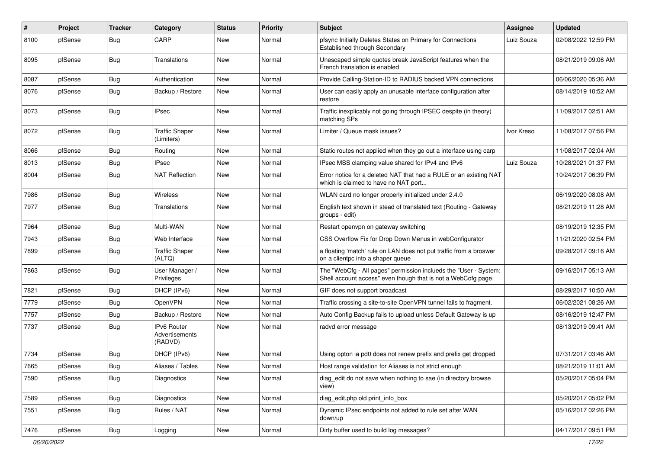| ∦    | Project | <b>Tracker</b> | Category                                 | <b>Status</b> | <b>Priority</b> | <b>Subject</b>                                                                                                                    | <b>Assignee</b> | <b>Updated</b>      |
|------|---------|----------------|------------------------------------------|---------------|-----------------|-----------------------------------------------------------------------------------------------------------------------------------|-----------------|---------------------|
| 8100 | pfSense | Bug            | CARP                                     | New           | Normal          | pfsync Initially Deletes States on Primary for Connections<br><b>Established through Secondary</b>                                | Luiz Souza      | 02/08/2022 12:59 PM |
| 8095 | pfSense | <b>Bug</b>     | Translations                             | New           | Normal          | Unescaped simple quotes break JavaScript features when the<br>French translation is enabled                                       |                 | 08/21/2019 09:06 AM |
| 8087 | pfSense | Bug            | Authentication                           | New           | Normal          | Provide Calling-Station-ID to RADIUS backed VPN connections                                                                       |                 | 06/06/2020 05:36 AM |
| 8076 | pfSense | Bug            | Backup / Restore                         | New           | Normal          | User can easily apply an unusable interface configuration after<br>restore                                                        |                 | 08/14/2019 10:52 AM |
| 8073 | pfSense | Bug            | <b>IPsec</b>                             | <b>New</b>    | Normal          | Traffic inexplicably not going through IPSEC despite (in theory)<br>matching SPs                                                  |                 | 11/09/2017 02:51 AM |
| 8072 | pfSense | <b>Bug</b>     | <b>Traffic Shaper</b><br>(Limiters)      | New           | Normal          | Limiter / Queue mask issues?                                                                                                      | Ivor Kreso      | 11/08/2017 07:56 PM |
| 8066 | pfSense | Bug            | Routing                                  | New           | Normal          | Static routes not applied when they go out a interface using carp                                                                 |                 | 11/08/2017 02:04 AM |
| 8013 | pfSense | Bug            | <b>IPsec</b>                             | New           | Normal          | IPsec MSS clamping value shared for IPv4 and IPv6                                                                                 | Luiz Souza      | 10/28/2021 01:37 PM |
| 8004 | pfSense | Bug            | <b>NAT Reflection</b>                    | New           | Normal          | Error notice for a deleted NAT that had a RULE or an existing NAT<br>which is claimed to have no NAT port                         |                 | 10/24/2017 06:39 PM |
| 7986 | pfSense | Bug            | Wireless                                 | <b>New</b>    | Normal          | WLAN card no longer properly initialized under 2.4.0                                                                              |                 | 06/19/2020 08:08 AM |
| 7977 | pfSense | <b>Bug</b>     | Translations                             | New           | Normal          | English text shown in stead of translated text (Routing - Gateway<br>groups - edit)                                               |                 | 08/21/2019 11:28 AM |
| 7964 | pfSense | Bug            | Multi-WAN                                | <b>New</b>    | Normal          | Restart openvpn on gateway switching                                                                                              |                 | 08/19/2019 12:35 PM |
| 7943 | pfSense | Bug            | Web Interface                            | New           | Normal          | CSS Overflow Fix for Drop Down Menus in webConfigurator                                                                           |                 | 11/21/2020 02:54 PM |
| 7899 | pfSense | <b>Bug</b>     | <b>Traffic Shaper</b><br>(ALTQ)          | New           | Normal          | a floating 'match' rule on LAN does not put traffic from a broswer<br>on a clientpc into a shaper queue                           |                 | 09/28/2017 09:16 AM |
| 7863 | pfSense | <b>Bug</b>     | User Manager /<br>Privileges             | New           | Normal          | The "WebCfg - All pages" permission inclueds the "User - System:<br>Shell account access" even though that is not a WebCofg page. |                 | 09/16/2017 05:13 AM |
| 7821 | pfSense | Bug            | DHCP (IPv6)                              | <b>New</b>    | Normal          | GIF does not support broadcast                                                                                                    |                 | 08/29/2017 10:50 AM |
| 7779 | pfSense | <b>Bug</b>     | OpenVPN                                  | <b>New</b>    | Normal          | Traffic crossing a site-to-site OpenVPN tunnel fails to fragment.                                                                 |                 | 06/02/2021 08:26 AM |
| 7757 | pfSense | Bug            | Backup / Restore                         | New           | Normal          | Auto Config Backup fails to upload unless Default Gateway is up                                                                   |                 | 08/16/2019 12:47 PM |
| 7737 | pfSense | <b>Bug</b>     | IPv6 Router<br>Advertisements<br>(RADVD) | <b>New</b>    | Normal          | radvd error message                                                                                                               |                 | 08/13/2019 09:41 AM |
| 7734 | pfSense | <b>Bug</b>     | DHCP (IPv6)                              | New           | Normal          | Using opton ia pd0 does not renew prefix and prefix get dropped                                                                   |                 | 07/31/2017 03:46 AM |
| 7665 | pfSense | <b>Bug</b>     | Aliases / Tables                         | New           | Normal          | Host range validation for Aliases is not strict enough                                                                            |                 | 08/21/2019 11:01 AM |
| 7590 | pfSense | <b>Bug</b>     | Diagnostics                              | New           | Normal          | diag_edit do not save when nothing to sae (in directory browse<br>view)                                                           |                 | 05/20/2017 05:04 PM |
| 7589 | pfSense | Bug            | Diagnostics                              | New           | Normal          | diag_edit.php old print_info_box                                                                                                  |                 | 05/20/2017 05:02 PM |
| 7551 | pfSense | <b>Bug</b>     | Rules / NAT                              | New           | Normal          | Dynamic IPsec endpoints not added to rule set after WAN<br>down/up                                                                |                 | 05/16/2017 02:26 PM |
| 7476 | pfSense | Bug            | Logging                                  | New           | Normal          | Dirty buffer used to build log messages?                                                                                          |                 | 04/17/2017 09:51 PM |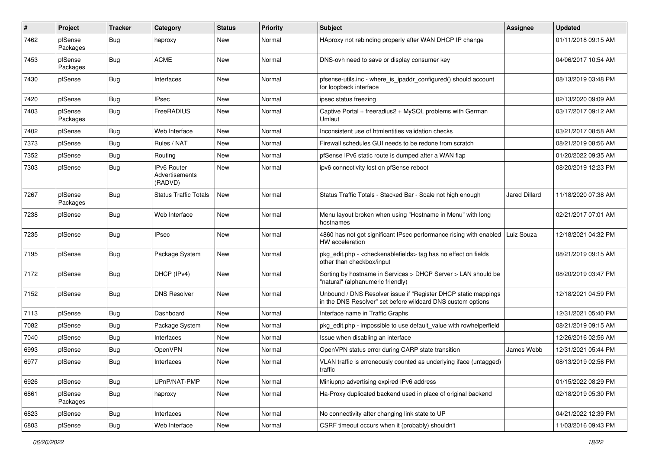| ∦    | Project             | <b>Tracker</b> | Category                                 | <b>Status</b> | <b>Priority</b> | Subject                                                                                                                       | Assignee             | <b>Updated</b>      |
|------|---------------------|----------------|------------------------------------------|---------------|-----------------|-------------------------------------------------------------------------------------------------------------------------------|----------------------|---------------------|
| 7462 | pfSense<br>Packages | <b>Bug</b>     | haproxy                                  | New           | Normal          | HAproxy not rebinding properly after WAN DHCP IP change                                                                       |                      | 01/11/2018 09:15 AM |
| 7453 | pfSense<br>Packages | <b>Bug</b>     | <b>ACME</b>                              | New           | Normal          | DNS-ovh need to save or display consumer key                                                                                  |                      | 04/06/2017 10:54 AM |
| 7430 | pfSense             | <b>Bug</b>     | Interfaces                               | <b>New</b>    | Normal          | pfsense-utils.inc - where_is_ipaddr_configured() should account<br>for loopback interface                                     |                      | 08/13/2019 03:48 PM |
| 7420 | pfSense             | <b>Bug</b>     | <b>IPsec</b>                             | New           | Normal          | ipsec status freezing                                                                                                         |                      | 02/13/2020 09:09 AM |
| 7403 | pfSense<br>Packages | <b>Bug</b>     | FreeRADIUS                               | New           | Normal          | Captive Portal + freeradius2 + MySQL problems with German<br>Umlaut                                                           |                      | 03/17/2017 09:12 AM |
| 7402 | pfSense             | <b>Bug</b>     | Web Interface                            | New           | Normal          | Inconsistent use of htmlentities validation checks                                                                            |                      | 03/21/2017 08:58 AM |
| 7373 | pfSense             | <b>Bug</b>     | Rules / NAT                              | New           | Normal          | Firewall schedules GUI needs to be redone from scratch                                                                        |                      | 08/21/2019 08:56 AM |
| 7352 | pfSense             | <b>Bug</b>     | Routing                                  | New           | Normal          | pfSense IPv6 static route is dumped after a WAN flap                                                                          |                      | 01/20/2022 09:35 AM |
| 7303 | pfSense             | <b>Bug</b>     | IPv6 Router<br>Advertisements<br>(RADVD) | New           | Normal          | ipv6 connectivity lost on pfSense reboot                                                                                      |                      | 08/20/2019 12:23 PM |
| 7267 | pfSense<br>Packages | <b>Bug</b>     | <b>Status Traffic Totals</b>             | <b>New</b>    | Normal          | Status Traffic Totals - Stacked Bar - Scale not high enough                                                                   | <b>Jared Dillard</b> | 11/18/2020 07:38 AM |
| 7238 | pfSense             | <b>Bug</b>     | Web Interface                            | New           | Normal          | Menu layout broken when using "Hostname in Menu" with long<br>hostnames                                                       |                      | 02/21/2017 07:01 AM |
| 7235 | pfSense             | <b>Bug</b>     | <b>IPsec</b>                             | New           | Normal          | 4860 has not got significant IPsec performance rising with enabled<br>HW acceleration                                         | Luiz Souza           | 12/18/2021 04:32 PM |
| 7195 | pfSense             | <b>Bug</b>     | Package System                           | New           | Normal          | pkg_edit.php - <checkenablefields> tag has no effect on fields<br/>other than checkbox/input</checkenablefields>              |                      | 08/21/2019 09:15 AM |
| 7172 | pfSense             | <b>Bug</b>     | DHCP (IPv4)                              | <b>New</b>    | Normal          | Sorting by hostname in Services > DHCP Server > LAN should be<br>"natural" (alphanumeric friendly)                            |                      | 08/20/2019 03:47 PM |
| 7152 | pfSense             | <b>Bug</b>     | <b>DNS Resolver</b>                      | New           | Normal          | Unbound / DNS Resolver issue if "Register DHCP static mappings<br>in the DNS Resolver" set before wildcard DNS custom options |                      | 12/18/2021 04:59 PM |
| 7113 | pfSense             | <b>Bug</b>     | Dashboard                                | <b>New</b>    | Normal          | Interface name in Traffic Graphs                                                                                              |                      | 12/31/2021 05:40 PM |
| 7082 | pfSense             | <b>Bug</b>     | Package System                           | New           | Normal          | pkg edit.php - impossible to use default value with rowhelperfield                                                            |                      | 08/21/2019 09:15 AM |
| 7040 | pfSense             | <b>Bug</b>     | Interfaces                               | <b>New</b>    | Normal          | Issue when disabling an interface                                                                                             |                      | 12/26/2016 02:56 AM |
| 6993 | pfSense             | <b>Bug</b>     | OpenVPN                                  | <b>New</b>    | Normal          | OpenVPN status error during CARP state transition                                                                             | James Webb           | 12/31/2021 05:44 PM |
| 6977 | pfSense             | <b>Bug</b>     | Interfaces                               | New           | Normal          | VLAN traffic is erroneously counted as underlying iface (untagged)<br>traffic                                                 |                      | 08/13/2019 02:56 PM |
| 6926 | pfSense             | <b>Bug</b>     | UPnP/NAT-PMP                             | <b>New</b>    | Normal          | Miniupnp advertising expired IPv6 address                                                                                     |                      | 01/15/2022 08:29 PM |
| 6861 | pfSense<br>Packages | Bug            | haproxy                                  | New           | Normal          | Ha-Proxy duplicated backend used in place of original backend                                                                 |                      | 02/18/2019 05:30 PM |
| 6823 | pfSense             | <b>Bug</b>     | Interfaces                               | New           | Normal          | No connectivity after changing link state to UP                                                                               |                      | 04/21/2022 12:39 PM |
| 6803 | pfSense             | Bug            | Web Interface                            | New           | Normal          | CSRF timeout occurs when it (probably) shouldn't                                                                              |                      | 11/03/2016 09:43 PM |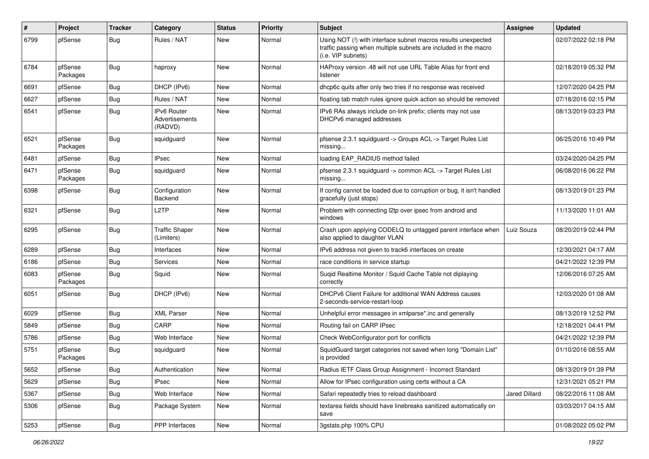| #    | Project             | <b>Tracker</b> | Category                                        | <b>Status</b> | <b>Priority</b> | Subject                                                                                                                                                | Assignee      | <b>Updated</b>      |
|------|---------------------|----------------|-------------------------------------------------|---------------|-----------------|--------------------------------------------------------------------------------------------------------------------------------------------------------|---------------|---------------------|
| 6799 | pfSense             | <b>Bug</b>     | Rules / NAT                                     | New           | Normal          | Using NOT (!) with interface subnet macros results unexpected<br>traffic passing when multiple subnets are included in the macro<br>(i.e. VIP subnets) |               | 02/07/2022 02:18 PM |
| 6784 | pfSense<br>Packages | Bug            | haproxy                                         | New           | Normal          | HAProxy version .48 will not use URL Table Alias for front end<br>listener                                                                             |               | 02/18/2019 05:32 PM |
| 6691 | pfSense             | Bug            | DHCP (IPv6)                                     | New           | Normal          | dhcp6c quits after only two tries if no response was received                                                                                          |               | 12/07/2020 04:25 PM |
| 6627 | pfSense             | Bug            | Rules / NAT                                     | <b>New</b>    | Normal          | floating tab match rules ignore quick action so should be removed                                                                                      |               | 07/18/2016 02:15 PM |
| 6541 | pfSense             | Bug            | <b>IPv6 Router</b><br>Advertisements<br>(RADVD) | New           | Normal          | IPv6 RAs always include on-link prefix; clients may not use<br>DHCPv6 managed addresses                                                                |               | 08/13/2019 03:23 PM |
| 6521 | pfSense<br>Packages | Bug            | squidguard                                      | <b>New</b>    | Normal          | pfsense 2.3.1 squidguard -> Groups ACL -> Target Rules List<br>missing                                                                                 |               | 06/25/2016 10:49 PM |
| 6481 | pfSense             | <b>Bug</b>     | <b>IPsec</b>                                    | New           | Normal          | loading EAP_RADIUS method failed                                                                                                                       |               | 03/24/2020 04:25 PM |
| 6471 | pfSense<br>Packages | Bug            | squidquard                                      | New           | Normal          | pfsense 2.3.1 squidguard -> common ACL -> Target Rules List<br>missing                                                                                 |               | 06/08/2016 06:22 PM |
| 6398 | pfSense             | Bug            | Configuration<br>Backend                        | New           | Normal          | If config cannot be loaded due to corruption or bug, it isn't handled<br>gracefully (just stops)                                                       |               | 08/13/2019 01:23 PM |
| 6321 | pfSense             | Bug            | L <sub>2</sub> TP                               | <b>New</b>    | Normal          | Problem with connecting I2tp over ipsec from android and<br>windows                                                                                    |               | 11/13/2020 11:01 AM |
| 6295 | pfSense             | Bug            | <b>Traffic Shaper</b><br>(Limiters)             | New           | Normal          | Crash upon applying CODELQ to untagged parent interface when<br>also applied to daughter VLAN                                                          | Luiz Souza    | 08/20/2019 02:44 PM |
| 6289 | pfSense             | <b>Bug</b>     | Interfaces                                      | <b>New</b>    | Normal          | IPv6 address not given to track6 interfaces on create                                                                                                  |               | 12/30/2021 04:17 AM |
| 6186 | pfSense             | Bug            | Services                                        | New           | Normal          | race conditions in service startup                                                                                                                     |               | 04/21/2022 12:39 PM |
| 6083 | pfSense<br>Packages | <b>Bug</b>     | Squid                                           | New           | Normal          | Suqid Realtime Monitor / Squid Cache Table not diplaying<br>correctly                                                                                  |               | 12/06/2016 07:25 AM |
| 6051 | pfSense             | Bug            | DHCP (IPv6)                                     | <b>New</b>    | Normal          | DHCPv6 Client Failure for additional WAN Address causes<br>2-seconds-service-restart-loop                                                              |               | 12/03/2020 01:08 AM |
| 6029 | pfSense             | Bug            | <b>XML Parser</b>                               | New           | Normal          | Unhelpful error messages in xmlparse*.inc and generally                                                                                                |               | 08/13/2019 12:52 PM |
| 5849 | pfSense             | Bug            | CARP                                            | <b>New</b>    | Normal          | Routing fail on CARP IPsec                                                                                                                             |               | 12/18/2021 04:41 PM |
| 5786 | pfSense             | Bug            | Web Interface                                   | New           | Normal          | Check WebConfigurator port for conflicts                                                                                                               |               | 04/21/2022 12:39 PM |
| 5751 | pfSense<br>Packages | Bug            | squidguard                                      | New           | Normal          | SquidGuard target categories not saved when long "Domain List"<br>is provided                                                                          |               | 01/10/2016 08:55 AM |
| 5652 | pfSense             | <b>Bug</b>     | Authentication                                  | New           | Normal          | Radius IETF Class Group Assignment - Incorrect Standard                                                                                                |               | 08/13/2019 01:39 PM |
| 5629 | pfSense             | <b>Bug</b>     | IPsec                                           | New           | Normal          | Allow for IPsec configuration using certs without a CA                                                                                                 |               | 12/31/2021 05:21 PM |
| 5367 | pfSense             | <b>Bug</b>     | Web Interface                                   | New           | Normal          | Safari repeatedly tries to reload dashboard                                                                                                            | Jared Dillard | 08/22/2016 11:08 AM |
| 5306 | pfSense             | <b>Bug</b>     | Package System                                  | New           | Normal          | textarea fields should have linebreaks sanitized automatically on<br>save                                                                              |               | 03/03/2017 04:15 AM |
| 5253 | pfSense             | Bug            | PPP Interfaces                                  | New           | Normal          | 3gstats.php 100% CPU                                                                                                                                   |               | 01/08/2022 05:02 PM |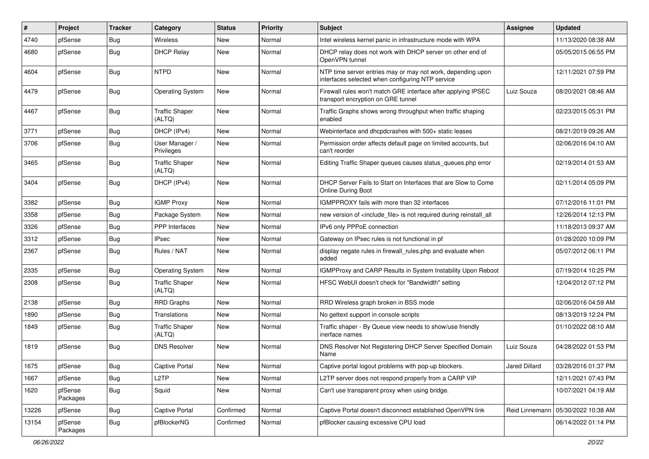| #     | Project             | <b>Tracker</b> | Category                        | <b>Status</b> | Priority | <b>Subject</b>                                                                                                  | Assignee       | <b>Updated</b>      |
|-------|---------------------|----------------|---------------------------------|---------------|----------|-----------------------------------------------------------------------------------------------------------------|----------------|---------------------|
| 4740  | pfSense             | <b>Bug</b>     | Wireless                        | New           | Normal   | Intel wireless kernel panic in infrastructure mode with WPA                                                     |                | 11/13/2020 08:38 AM |
| 4680  | pfSense             | <b>Bug</b>     | <b>DHCP Relay</b>               | <b>New</b>    | Normal   | DHCP relay does not work with DHCP server on other end of<br>OpenVPN tunnel                                     |                | 05/05/2015 06:55 PM |
| 4604  | pfSense             | <b>Bug</b>     | <b>NTPD</b>                     | <b>New</b>    | Normal   | NTP time server entries may or may not work, depending upon<br>interfaces selected when configuring NTP service |                | 12/11/2021 07:59 PM |
| 4479  | pfSense             | Bug            | <b>Operating System</b>         | New           | Normal   | Firewall rules won't match GRE interface after applying IPSEC<br>transport encryption on GRE tunnel             | Luiz Souza     | 08/20/2021 08:46 AM |
| 4467  | pfSense             | Bug            | <b>Traffic Shaper</b><br>(ALTQ) | <b>New</b>    | Normal   | Traffic Graphs shows wrong throughput when traffic shaping<br>enabled                                           |                | 02/23/2015 05:31 PM |
| 3771  | pfSense             | Bug            | DHCP (IPv4)                     | <b>New</b>    | Normal   | Webinterface and dhcpdcrashes with 500+ static leases                                                           |                | 08/21/2019 09:26 AM |
| 3706  | pfSense             | Bug            | User Manager /<br>Privileges    | New           | Normal   | Permission order affects default page on limited accounts, but<br>can't reorder                                 |                | 02/06/2016 04:10 AM |
| 3465  | pfSense             | <b>Bug</b>     | <b>Traffic Shaper</b><br>(ALTQ) | <b>New</b>    | Normal   | Editing Traffic Shaper queues causes status_queues.php error                                                    |                | 02/19/2014 01:53 AM |
| 3404  | pfSense             | <b>Bug</b>     | DHCP (IPv4)                     | <b>New</b>    | Normal   | DHCP Server Fails to Start on Interfaces that are Slow to Come<br><b>Online During Boot</b>                     |                | 02/11/2014 05:09 PM |
| 3382  | pfSense             | Bug            | <b>IGMP Proxy</b>               | <b>New</b>    | Normal   | IGMPPROXY fails with more than 32 interfaces                                                                    |                | 07/12/2016 11:01 PM |
| 3358  | pfSense             | Bug            | Package System                  | <b>New</b>    | Normal   | new version of <include file=""> is not required during reinstall all</include>                                 |                | 12/26/2014 12:13 PM |
| 3326  | pfSense             | Bug            | PPP Interfaces                  | <b>New</b>    | Normal   | IPv6 only PPPoE connection                                                                                      |                | 11/18/2013 09:37 AM |
| 3312  | pfSense             | Bug            | <b>IPsec</b>                    | New           | Normal   | Gateway on IPsec rules is not functional in pf                                                                  |                | 01/28/2020 10:09 PM |
| 2367  | pfSense             | Bug            | Rules / NAT                     | <b>New</b>    | Normal   | display negate rules in firewall_rules.php and evaluate when<br>added                                           |                | 05/07/2012 06:11 PM |
| 2335  | pfSense             | Bug            | <b>Operating System</b>         | <b>New</b>    | Normal   | IGMPProxy and CARP Results in System Instability Upon Reboot                                                    |                | 07/19/2014 10:25 PM |
| 2308  | pfSense             | Bug            | <b>Traffic Shaper</b><br>(ALTQ) | New           | Normal   | HFSC WebUI doesn't check for "Bandwidth" setting                                                                |                | 12/04/2012 07:12 PM |
| 2138  | pfSense             | Bug            | <b>RRD Graphs</b>               | <b>New</b>    | Normal   | RRD Wireless graph broken in BSS mode                                                                           |                | 02/06/2016 04:59 AM |
| 1890  | pfSense             | Bug            | Translations                    | <b>New</b>    | Normal   | No gettext support in console scripts                                                                           |                | 08/13/2019 12:24 PM |
| 1849  | pfSense             | <b>Bug</b>     | <b>Traffic Shaper</b><br>(ALTQ) | New           | Normal   | Traffic shaper - By Queue view needs to show/use friendly<br>inerface names                                     |                | 01/10/2022 08:10 AM |
| 1819  | pfSense             | Bug            | <b>DNS Resolver</b>             | New           | Normal   | DNS Resolver Not Registering DHCP Server Specified Domain<br>Name                                               | Luiz Souza     | 04/28/2022 01:53 PM |
| 1675  | pfSense             | <b>Bug</b>     | Captive Portal                  | New           | Normal   | Captive portal logout problems with pop-up blockers.                                                            | Jared Dillard  | 03/28/2016 01:37 PM |
| 1667  | pfSense             | Bug            | L <sub>2</sub> TP               | New           | Normal   | L2TP server does not respond properly from a CARP VIP                                                           |                | 12/11/2021 07:43 PM |
| 1620  | pfSense<br>Packages | Bug            | Squid                           | New           | Normal   | Can't use transparent proxy when using bridge.                                                                  |                | 10/07/2021 04:19 AM |
| 13226 | pfSense             | Bug            | Captive Portal                  | Confirmed     | Normal   | Captive Portal doesn't disconnect established OpenVPN link                                                      | Reid Linnemann | 05/30/2022 10:38 AM |
| 13154 | pfSense<br>Packages | Bug            | pfBlockerNG                     | Confirmed     | Normal   | pfBlocker causing excessive CPU load                                                                            |                | 06/14/2022 01:14 PM |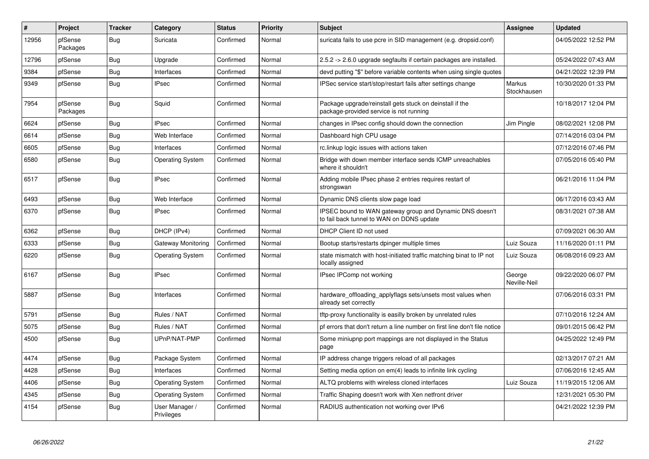| #     | Project             | <b>Tracker</b> | Category                     | <b>Status</b> | <b>Priority</b> | <b>Subject</b>                                                                                        | <b>Assignee</b>        | <b>Updated</b>      |
|-------|---------------------|----------------|------------------------------|---------------|-----------------|-------------------------------------------------------------------------------------------------------|------------------------|---------------------|
| 12956 | pfSense<br>Packages | Bug            | Suricata                     | Confirmed     | Normal          | suricata fails to use pcre in SID management (e.g. dropsid.conf)                                      |                        | 04/05/2022 12:52 PM |
| 12796 | pfSense             | Bug            | Upgrade                      | Confirmed     | Normal          | 2.5.2 -> 2.6.0 upgrade segfaults if certain packages are installed.                                   |                        | 05/24/2022 07:43 AM |
| 9384  | pfSense             | <b>Bug</b>     | Interfaces                   | Confirmed     | Normal          | devd putting "\$" before variable contents when using single quotes                                   |                        | 04/21/2022 12:39 PM |
| 9349  | pfSense             | <b>Bug</b>     | <b>IPsec</b>                 | Confirmed     | Normal          | IPSec service start/stop/restart fails after settings change                                          | Markus<br>Stockhausen  | 10/30/2020 01:33 PM |
| 7954  | pfSense<br>Packages | Bug            | Squid                        | Confirmed     | Normal          | Package upgrade/reinstall gets stuck on deinstall if the<br>package-provided service is not running   |                        | 10/18/2017 12:04 PM |
| 6624  | pfSense             | <b>Bug</b>     | <b>IPsec</b>                 | Confirmed     | Normal          | changes in IPsec config should down the connection                                                    | Jim Pingle             | 08/02/2021 12:08 PM |
| 6614  | pfSense             | <b>Bug</b>     | Web Interface                | Confirmed     | Normal          | Dashboard high CPU usage                                                                              |                        | 07/14/2016 03:04 PM |
| 6605  | pfSense             | <b>Bug</b>     | Interfaces                   | Confirmed     | Normal          | rc.linkup logic issues with actions taken                                                             |                        | 07/12/2016 07:46 PM |
| 6580  | pfSense             | Bug            | <b>Operating System</b>      | Confirmed     | Normal          | Bridge with down member interface sends ICMP unreachables<br>where it shouldn't                       |                        | 07/05/2016 05:40 PM |
| 6517  | pfSense             | Bug            | <b>IPsec</b>                 | Confirmed     | Normal          | Adding mobile IPsec phase 2 entries requires restart of<br>strongswan                                 |                        | 06/21/2016 11:04 PM |
| 6493  | pfSense             | Bug            | Web Interface                | Confirmed     | Normal          | Dynamic DNS clients slow page load                                                                    |                        | 06/17/2016 03:43 AM |
| 6370  | pfSense             | <b>Bug</b>     | <b>IPsec</b>                 | Confirmed     | Normal          | IPSEC bound to WAN gateway group and Dynamic DNS doesn't<br>to fail back tunnel to WAN on DDNS update |                        | 08/31/2021 07:38 AM |
| 6362  | pfSense             | Bug            | DHCP (IPv4)                  | Confirmed     | Normal          | DHCP Client ID not used                                                                               |                        | 07/09/2021 06:30 AM |
| 6333  | pfSense             | Bug            | Gateway Monitoring           | Confirmed     | Normal          | Bootup starts/restarts dpinger multiple times                                                         | Luiz Souza             | 11/16/2020 01:11 PM |
| 6220  | pfSense             | <b>Bug</b>     | <b>Operating System</b>      | Confirmed     | Normal          | state mismatch with host-initiated traffic matching binat to IP not<br>locally assigned               | Luiz Souza             | 06/08/2016 09:23 AM |
| 6167  | pfSense             | Bug            | <b>IPsec</b>                 | Confirmed     | Normal          | IPsec IPComp not working                                                                              | George<br>Neville-Neil | 09/22/2020 06:07 PM |
| 5887  | pfSense             | Bug            | Interfaces                   | Confirmed     | Normal          | hardware_offloading_applyflags sets/unsets most values when<br>already set correctly                  |                        | 07/06/2016 03:31 PM |
| 5791  | pfSense             | Bug            | Rules / NAT                  | Confirmed     | Normal          | tftp-proxy functionality is easilly broken by unrelated rules                                         |                        | 07/10/2016 12:24 AM |
| 5075  | pfSense             | <b>Bug</b>     | Rules / NAT                  | Confirmed     | Normal          | pf errors that don't return a line number on first line don't file notice                             |                        | 09/01/2015 06:42 PM |
| 4500  | pfSense             | Bug            | UPnP/NAT-PMP                 | Confirmed     | Normal          | Some miniupnp port mappings are not displayed in the Status<br>page                                   |                        | 04/25/2022 12:49 PM |
| 4474  | pfSense             | Bug            | Package System               | Confirmed     | Normal          | IP address change triggers reload of all packages                                                     |                        | 02/13/2017 07:21 AM |
| 4428  | pfSense             | Bug            | Interfaces                   | Confirmed     | Normal          | Setting media option on em(4) leads to infinite link cycling                                          |                        | 07/06/2016 12:45 AM |
| 4406  | pfSense             | Bug            | <b>Operating System</b>      | Confirmed     | Normal          | ALTQ problems with wireless cloned interfaces                                                         | Luiz Souza             | 11/19/2015 12:06 AM |
| 4345  | pfSense             | Bug            | <b>Operating System</b>      | Confirmed     | Normal          | Traffic Shaping doesn't work with Xen netfront driver                                                 |                        | 12/31/2021 05:30 PM |
| 4154  | pfSense             | Bug            | User Manager /<br>Privileges | Confirmed     | Normal          | RADIUS authentication not working over IPv6                                                           |                        | 04/21/2022 12:39 PM |